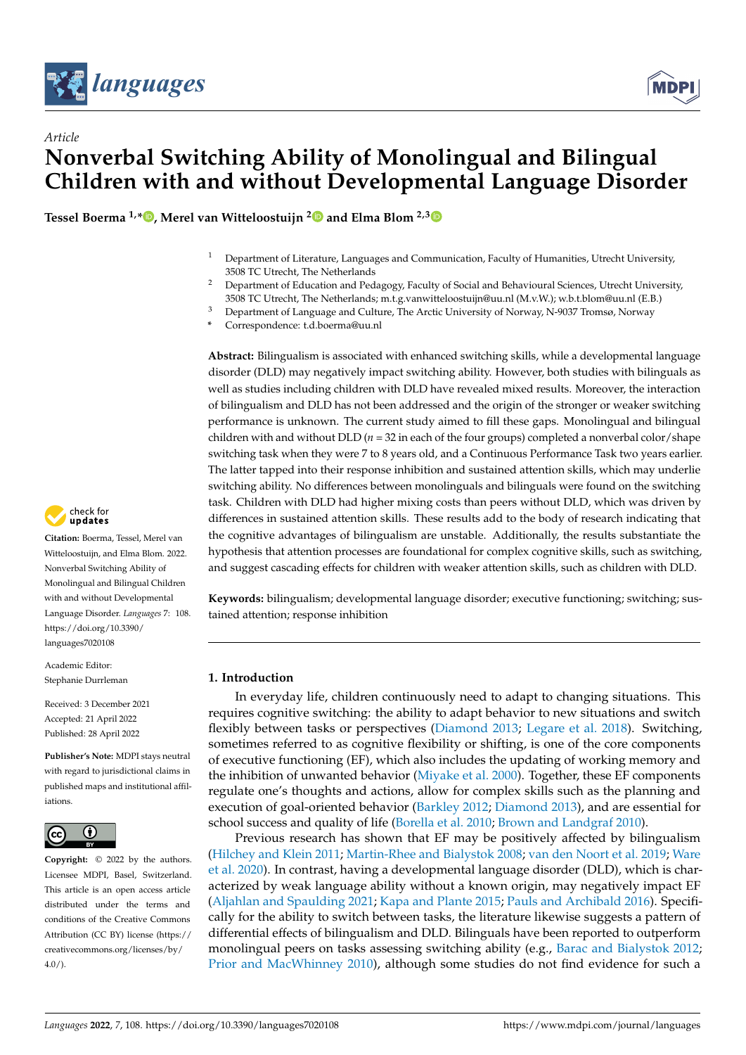



# *Article* **Nonverbal Switching Ability of Monolingual and Bilingual Children with and without Developmental Language Disorder**

**Tessel Boerma 1,[\\*](https://orcid.org/0000-0002-1649-2308) , Merel van Witteloostuijn [2](https://orcid.org/0000-0003-3159-8247) and Elma Blom 2,[3](https://orcid.org/0000-0001-8984-3650)**

- <sup>1</sup> Department of Literature, Languages and Communication, Faculty of Humanities, Utrecht University, 3508 TC Utrecht, The Netherlands
- <sup>2</sup> Department of Education and Pedagogy, Faculty of Social and Behavioural Sciences, Utrecht University, 3508 TC Utrecht, The Netherlands; m.t.g.vanwitteloostuijn@uu.nl (M.v.W.); w.b.t.blom@uu.nl (E.B.)
- <sup>3</sup> Department of Language and Culture, The Arctic University of Norway, N-9037 Tromsø, Norway
- **\*** Correspondence: t.d.boerma@uu.nl

**Abstract:** Bilingualism is associated with enhanced switching skills, while a developmental language disorder (DLD) may negatively impact switching ability. However, both studies with bilinguals as well as studies including children with DLD have revealed mixed results. Moreover, the interaction of bilingualism and DLD has not been addressed and the origin of the stronger or weaker switching performance is unknown. The current study aimed to fill these gaps. Monolingual and bilingual children with and without DLD ( $n = 32$  in each of the four groups) completed a nonverbal color/shape switching task when they were 7 to 8 years old, and a Continuous Performance Task two years earlier. The latter tapped into their response inhibition and sustained attention skills, which may underlie switching ability. No differences between monolinguals and bilinguals were found on the switching task. Children with DLD had higher mixing costs than peers without DLD, which was driven by differences in sustained attention skills. These results add to the body of research indicating that the cognitive advantages of bilingualism are unstable. Additionally, the results substantiate the hypothesis that attention processes are foundational for complex cognitive skills, such as switching, and suggest cascading effects for children with weaker attention skills, such as children with DLD.

**Keywords:** bilingualism; developmental language disorder; executive functioning; switching; sustained attention; response inhibition

# **1. Introduction**

In everyday life, children continuously need to adapt to changing situations. This requires cognitive switching: the ability to adapt behavior to new situations and switch flexibly between tasks or perspectives [\(Diamond](#page-17-0) [2013;](#page-17-0) [Legare et al.](#page-17-1) [2018\)](#page-17-1). Switching, sometimes referred to as cognitive flexibility or shifting, is one of the core components of executive functioning (EF), which also includes the updating of working memory and the inhibition of unwanted behavior [\(Miyake et al.](#page-18-0) [2000\)](#page-18-0). Together, these EF components regulate one's thoughts and actions, allow for complex skills such as the planning and execution of goal-oriented behavior [\(Barkley](#page-16-0) [2012;](#page-16-0) [Diamond](#page-17-0) [2013\)](#page-17-0), and are essential for school success and quality of life [\(Borella et al.](#page-16-1) [2010;](#page-16-1) [Brown and Landgraf](#page-16-2) [2010\)](#page-16-2).

Previous research has shown that EF may be positively affected by bilingualism [\(Hilchey and Klein](#page-17-2) [2011;](#page-17-2) [Martin-Rhee and Bialystok](#page-17-3) [2008;](#page-17-3) [van den Noort et al.](#page-18-1) [2019;](#page-18-1) [Ware](#page-18-2) [et al.](#page-18-2) [2020\)](#page-18-2). In contrast, having a developmental language disorder (DLD), which is characterized by weak language ability without a known origin, may negatively impact EF [\(Aljahlan and Spaulding](#page-16-3) [2021;](#page-16-3) [Kapa and Plante](#page-17-4) [2015;](#page-17-4) [Pauls and Archibald](#page-18-3) [2016\)](#page-18-3). Specifically for the ability to switch between tasks, the literature likewise suggests a pattern of differential effects of bilingualism and DLD. Bilinguals have been reported to outperform monolingual peers on tasks assessing switching ability (e.g., [Barac and Bialystok](#page-16-4) [2012;](#page-16-4) [Prior and MacWhinney](#page-18-4) [2010\)](#page-18-4), although some studies do not find evidence for such a



**Citation:** Boerma, Tessel, Merel van Witteloostuijn, and Elma Blom. 2022. Nonverbal Switching Ability of Monolingual and Bilingual Children with and without Developmental Language Disorder. *Languages* 7: 108. [https://doi.org/10.3390/](https://doi.org/10.3390/languages7020108) [languages7020108](https://doi.org/10.3390/languages7020108)

Academic Editor: Stephanie Durrleman

Received: 3 December 2021 Accepted: 21 April 2022 Published: 28 April 2022

**Publisher's Note:** MDPI stays neutral with regard to jurisdictional claims in published maps and institutional affiliations.



**Copyright:** © 2022 by the authors. Licensee MDPI, Basel, Switzerland. This article is an open access article distributed under the terms and conditions of the Creative Commons Attribution (CC BY) license [\(https://](https://creativecommons.org/licenses/by/4.0/) [creativecommons.org/licenses/by/](https://creativecommons.org/licenses/by/4.0/)  $4.0/$ ).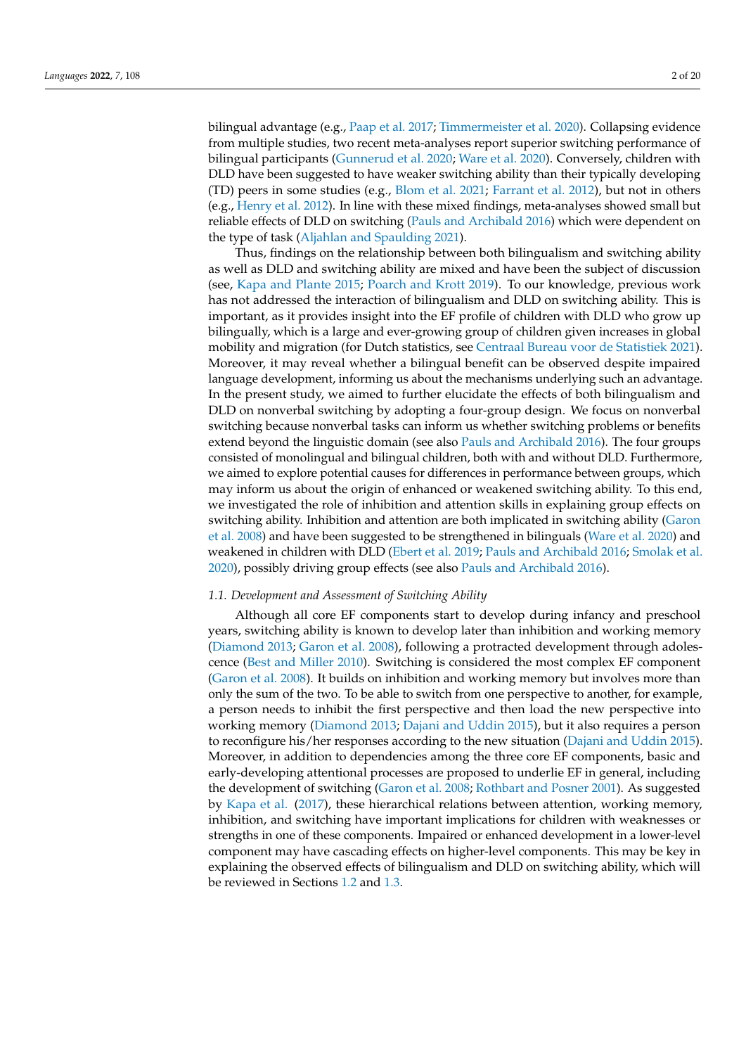bilingual advantage (e.g., [Paap et al.](#page-18-5) [2017;](#page-18-5) [Timmermeister et al.](#page-18-6) [2020\)](#page-18-6). Collapsing evidence from multiple studies, two recent meta-analyses report superior switching performance of bilingual participants [\(Gunnerud et al.](#page-17-5) [2020;](#page-17-5) [Ware et al.](#page-18-2) [2020\)](#page-18-2). Conversely, children with DLD have been suggested to have weaker switching ability than their typically developing (TD) peers in some studies (e.g., [Blom et al.](#page-16-5) [2021;](#page-16-5) [Farrant et al.](#page-17-6) [2012\)](#page-17-6), but not in others (e.g., [Henry et al.](#page-17-7) [2012\)](#page-17-7). In line with these mixed findings, meta-analyses showed small but reliable effects of DLD on switching [\(Pauls and Archibald](#page-18-3) [2016\)](#page-18-3) which were dependent on the type of task [\(Aljahlan and Spaulding](#page-16-3) [2021\)](#page-16-3).

Thus, findings on the relationship between both bilingualism and switching ability as well as DLD and switching ability are mixed and have been the subject of discussion (see, [Kapa and Plante](#page-17-4) [2015;](#page-17-4) [Poarch and Krott](#page-18-7) [2019\)](#page-18-7). To our knowledge, previous work has not addressed the interaction of bilingualism and DLD on switching ability. This is important, as it provides insight into the EF profile of children with DLD who grow up bilingually, which is a large and ever-growing group of children given increases in global mobility and migration (for Dutch statistics, see [Centraal Bureau voor de Statistiek](#page-16-6) [2021\)](#page-16-6). Moreover, it may reveal whether a bilingual benefit can be observed despite impaired language development, informing us about the mechanisms underlying such an advantage. In the present study, we aimed to further elucidate the effects of both bilingualism and DLD on nonverbal switching by adopting a four-group design. We focus on nonverbal switching because nonverbal tasks can inform us whether switching problems or benefits extend beyond the linguistic domain (see also [Pauls and Archibald](#page-18-3) [2016\)](#page-18-3). The four groups consisted of monolingual and bilingual children, both with and without DLD. Furthermore, we aimed to explore potential causes for differences in performance between groups, which may inform us about the origin of enhanced or weakened switching ability. To this end, we investigated the role of inhibition and attention skills in explaining group effects on switching ability. Inhibition and attention are both implicated in switching ability [\(Garon](#page-17-8) [et al.](#page-17-8) [2008\)](#page-17-8) and have been suggested to be strengthened in bilinguals [\(Ware et al.](#page-18-2) [2020\)](#page-18-2) and weakened in children with DLD [\(Ebert et al.](#page-17-9) [2019;](#page-17-9) [Pauls and Archibald](#page-18-3) [2016;](#page-18-3) [Smolak et al.](#page-18-8) [2020\)](#page-18-8), possibly driving group effects (see also [Pauls and Archibald](#page-18-3) [2016\)](#page-18-3).

#### *1.1. Development and Assessment of Switching Ability*

Although all core EF components start to develop during infancy and preschool years, switching ability is known to develop later than inhibition and working memory [\(Diamond](#page-17-0) [2013;](#page-17-0) [Garon et al.](#page-17-8) [2008\)](#page-17-8), following a protracted development through adolescence [\(Best and Miller](#page-16-7) [2010\)](#page-16-7). Switching is considered the most complex EF component [\(Garon et al.](#page-17-8) [2008\)](#page-17-8). It builds on inhibition and working memory but involves more than only the sum of the two. To be able to switch from one perspective to another, for example, a person needs to inhibit the first perspective and then load the new perspective into working memory [\(Diamond](#page-17-0) [2013;](#page-17-0) [Dajani and Uddin](#page-16-8) [2015\)](#page-16-8), but it also requires a person to reconfigure his/her responses according to the new situation [\(Dajani and Uddin](#page-16-8) [2015\)](#page-16-8). Moreover, in addition to dependencies among the three core EF components, basic and early-developing attentional processes are proposed to underlie EF in general, including the development of switching [\(Garon et al.](#page-17-8) [2008;](#page-17-8) [Rothbart and Posner](#page-18-9) [2001\)](#page-18-9). As suggested by [Kapa et al.](#page-17-10) [\(2017\)](#page-17-10), these hierarchical relations between attention, working memory, inhibition, and switching have important implications for children with weaknesses or strengths in one of these components. Impaired or enhanced development in a lower-level component may have cascading effects on higher-level components. This may be key in explaining the observed effects of bilingualism and DLD on switching ability, which will be reviewed in Sections [1.2](#page-2-0) and [1.3.](#page-3-0)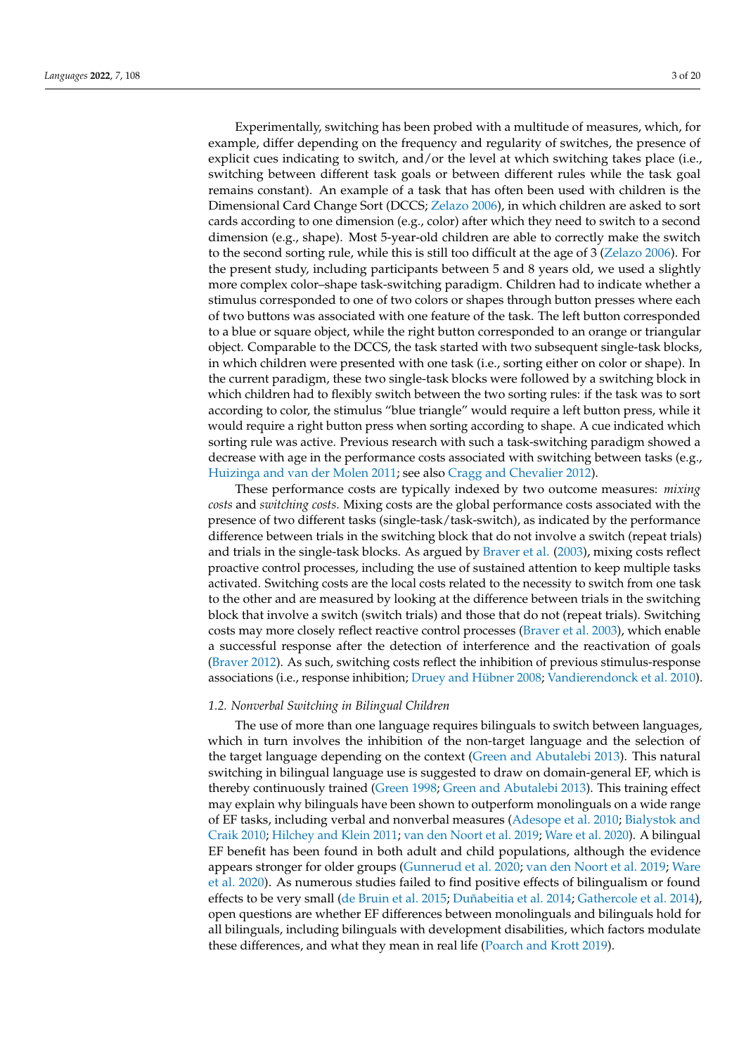Experimentally, switching has been probed with a multitude of measures, which, for example, differ depending on the frequency and regularity of switches, the presence of explicit cues indicating to switch, and/or the level at which switching takes place (i.e., switching between different task goals or between different rules while the task goal remains constant). An example of a task that has often been used with children is the Dimensional Card Change Sort (DCCS; [Zelazo](#page-19-0) [2006\)](#page-19-0), in which children are asked to sort cards according to one dimension (e.g., color) after which they need to switch to a second dimension (e.g., shape). Most 5-year-old children are able to correctly make the switch to the second sorting rule, while this is still too difficult at the age of 3 [\(Zelazo](#page-19-0) [2006\)](#page-19-0). For the present study, including participants between 5 and 8 years old, we used a slightly more complex color–shape task-switching paradigm. Children had to indicate whether a stimulus corresponded to one of two colors or shapes through button presses where each of two buttons was associated with one feature of the task. The left button corresponded to a blue or square object, while the right button corresponded to an orange or triangular object. Comparable to the DCCS, the task started with two subsequent single-task blocks, in which children were presented with one task (i.e., sorting either on color or shape). In the current paradigm, these two single-task blocks were followed by a switching block in which children had to flexibly switch between the two sorting rules: if the task was to sort according to color, the stimulus "blue triangle" would require a left button press, while it would require a right button press when sorting according to shape. A cue indicated which sorting rule was active. Previous research with such a task-switching paradigm showed a decrease with age in the performance costs associated with switching between tasks (e.g., [Huizinga and van der Molen](#page-17-11) [2011;](#page-17-11) see also [Cragg and Chevalier](#page-16-9) [2012\)](#page-16-9).

These performance costs are typically indexed by two outcome measures: *mixing costs* and *switching costs*. Mixing costs are the global performance costs associated with the presence of two different tasks (single-task/task-switch), as indicated by the performance difference between trials in the switching block that do not involve a switch (repeat trials) and trials in the single-task blocks. As argued by [Braver et al.](#page-16-10) [\(2003\)](#page-16-10), mixing costs reflect proactive control processes, including the use of sustained attention to keep multiple tasks activated. Switching costs are the local costs related to the necessity to switch from one task to the other and are measured by looking at the difference between trials in the switching block that involve a switch (switch trials) and those that do not (repeat trials). Switching costs may more closely reflect reactive control processes [\(Braver et al.](#page-16-10) [2003\)](#page-16-10), which enable a successful response after the detection of interference and the reactivation of goals [\(Braver](#page-16-11) [2012\)](#page-16-11). As such, switching costs reflect the inhibition of previous stimulus-response associations (i.e., response inhibition; [Druey and Hübner](#page-17-12) [2008;](#page-17-12) [Vandierendonck et al.](#page-18-10) [2010\)](#page-18-10).

# <span id="page-2-0"></span>*1.2. Nonverbal Switching in Bilingual Children*

The use of more than one language requires bilinguals to switch between languages, which in turn involves the inhibition of the non-target language and the selection of the target language depending on the context [\(Green and Abutalebi](#page-17-13) [2013\)](#page-17-13). This natural switching in bilingual language use is suggested to draw on domain-general EF, which is thereby continuously trained [\(Green](#page-17-14) [1998;](#page-17-14) [Green and Abutalebi](#page-17-13) [2013\)](#page-17-13). This training effect may explain why bilinguals have been shown to outperform monolinguals on a wide range of EF tasks, including verbal and nonverbal measures [\(Adesope et al.](#page-16-12) [2010;](#page-16-12) [Bialystok and](#page-16-13) [Craik](#page-16-13) [2010;](#page-16-13) [Hilchey and Klein](#page-17-2) [2011;](#page-17-2) [van den Noort et al.](#page-18-1) [2019;](#page-18-1) [Ware et al.](#page-18-2) [2020\)](#page-18-2). A bilingual EF benefit has been found in both adult and child populations, although the evidence appears stronger for older groups [\(Gunnerud et al.](#page-17-5) [2020;](#page-17-5) [van den Noort et al.](#page-18-1) [2019;](#page-18-1) [Ware](#page-18-2) [et al.](#page-18-2) [2020\)](#page-18-2). As numerous studies failed to find positive effects of bilingualism or found effects to be very small [\(de Bruin et al.](#page-17-15) [2015;](#page-17-15) [Duñabeitia et al.](#page-17-16) [2014;](#page-17-16) [Gathercole et al.](#page-17-17) [2014\)](#page-17-17), open questions are whether EF differences between monolinguals and bilinguals hold for all bilinguals, including bilinguals with development disabilities, which factors modulate these differences, and what they mean in real life [\(Poarch and Krott](#page-18-7) [2019\)](#page-18-7).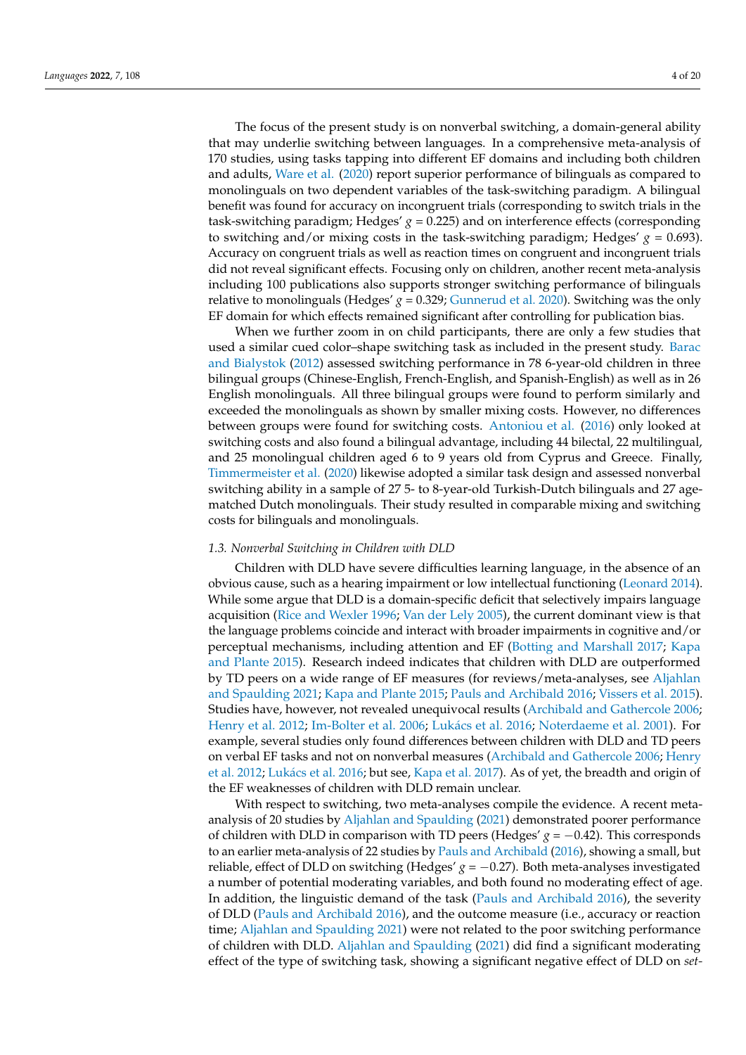The focus of the present study is on nonverbal switching, a domain-general ability that may underlie switching between languages. In a comprehensive meta-analysis of 170 studies, using tasks tapping into different EF domains and including both children and adults, [Ware et al.](#page-18-2) [\(2020\)](#page-18-2) report superior performance of bilinguals as compared to monolinguals on two dependent variables of the task-switching paradigm. A bilingual benefit was found for accuracy on incongruent trials (corresponding to switch trials in the task-switching paradigm; Hedges' *g* = 0.225) and on interference effects (corresponding to switching and/or mixing costs in the task-switching paradigm; Hedges' *g* = 0.693). Accuracy on congruent trials as well as reaction times on congruent and incongruent trials did not reveal significant effects. Focusing only on children, another recent meta-analysis including 100 publications also supports stronger switching performance of bilinguals relative to monolinguals (Hedges'  $g = 0.329$ ; [Gunnerud et al.](#page-17-5) [2020\)](#page-17-5). Switching was the only EF domain for which effects remained significant after controlling for publication bias.

When we further zoom in on child participants, there are only a few studies that used a similar cued color–shape switching task as included in the present study. [Barac](#page-16-4) [and Bialystok](#page-16-4) [\(2012\)](#page-16-4) assessed switching performance in 78 6-year-old children in three bilingual groups (Chinese-English, French-English, and Spanish-English) as well as in 26 English monolinguals. All three bilingual groups were found to perform similarly and exceeded the monolinguals as shown by smaller mixing costs. However, no differences between groups were found for switching costs. [Antoniou et al.](#page-16-14) [\(2016\)](#page-16-14) only looked at switching costs and also found a bilingual advantage, including 44 bilectal, 22 multilingual, and 25 monolingual children aged 6 to 9 years old from Cyprus and Greece. Finally, [Timmermeister et al.](#page-18-6) [\(2020\)](#page-18-6) likewise adopted a similar task design and assessed nonverbal switching ability in a sample of 27 5- to 8-year-old Turkish-Dutch bilinguals and 27 agematched Dutch monolinguals. Their study resulted in comparable mixing and switching costs for bilinguals and monolinguals.

# <span id="page-3-0"></span>*1.3. Nonverbal Switching in Children with DLD*

Children with DLD have severe difficulties learning language, in the absence of an obvious cause, such as a hearing impairment or low intellectual functioning [\(Leonard](#page-17-18) [2014\)](#page-17-18). While some argue that DLD is a domain-specific deficit that selectively impairs language acquisition [\(Rice and Wexler](#page-18-11) [1996;](#page-18-11) [Van der Lely](#page-18-12) [2005\)](#page-18-12), the current dominant view is that the language problems coincide and interact with broader impairments in cognitive and/or perceptual mechanisms, including attention and EF [\(Botting and Marshall](#page-16-15) [2017;](#page-16-15) [Kapa](#page-17-4) [and Plante](#page-17-4) [2015\)](#page-17-4). Research indeed indicates that children with DLD are outperformed by TD peers on a wide range of EF measures (for reviews/meta-analyses, see [Aljahlan](#page-16-3) [and Spaulding](#page-16-3) [2021;](#page-16-3) [Kapa and Plante](#page-17-4) [2015;](#page-17-4) [Pauls and Archibald](#page-18-3) [2016;](#page-18-3) [Vissers et al.](#page-18-13) [2015\)](#page-18-13). Studies have, however, not revealed unequivocal results [\(Archibald and Gathercole](#page-16-16) [2006;](#page-16-16) [Henry et al.](#page-17-7) [2012;](#page-17-7) [Im-Bolter et al.](#page-17-19) [2006;](#page-17-19) Luká[cs et al.](#page-17-20) [2016;](#page-17-20) [Noterdaeme et al.](#page-18-14) [2001\)](#page-18-14). For example, several studies only found differences between children with DLD and TD peers on verbal EF tasks and not on nonverbal measures [\(Archibald and Gathercole](#page-16-16) [2006;](#page-16-16) [Henry](#page-17-7) [et al.](#page-17-7) [2012;](#page-17-7) Luká[cs et al.](#page-17-20) [2016;](#page-17-20) but see, [Kapa et al.](#page-17-10) [2017\)](#page-17-10). As of yet, the breadth and origin of the EF weaknesses of children with DLD remain unclear.

With respect to switching, two meta-analyses compile the evidence. A recent metaanalysis of 20 studies by [Aljahlan and Spaulding](#page-16-3) [\(2021\)](#page-16-3) demonstrated poorer performance of children with DLD in comparison with TD peers (Hedges'  $g = -0.42$ ). This corresponds to an earlier meta-analysis of 22 studies by [Pauls and Archibald](#page-18-3) [\(2016\)](#page-18-3), showing a small, but reliable, effect of DLD on switching (Hedges'  $g = -0.27$ ). Both meta-analyses investigated a number of potential moderating variables, and both found no moderating effect of age. In addition, the linguistic demand of the task [\(Pauls and Archibald](#page-18-3) [2016\)](#page-18-3), the severity of DLD [\(Pauls and Archibald](#page-18-3) [2016\)](#page-18-3), and the outcome measure (i.e., accuracy or reaction time; [Aljahlan and Spaulding](#page-16-3) [2021\)](#page-16-3) were not related to the poor switching performance of children with DLD. [Aljahlan and Spaulding](#page-16-3) [\(2021\)](#page-16-3) did find a significant moderating effect of the type of switching task, showing a significant negative effect of DLD on *set-*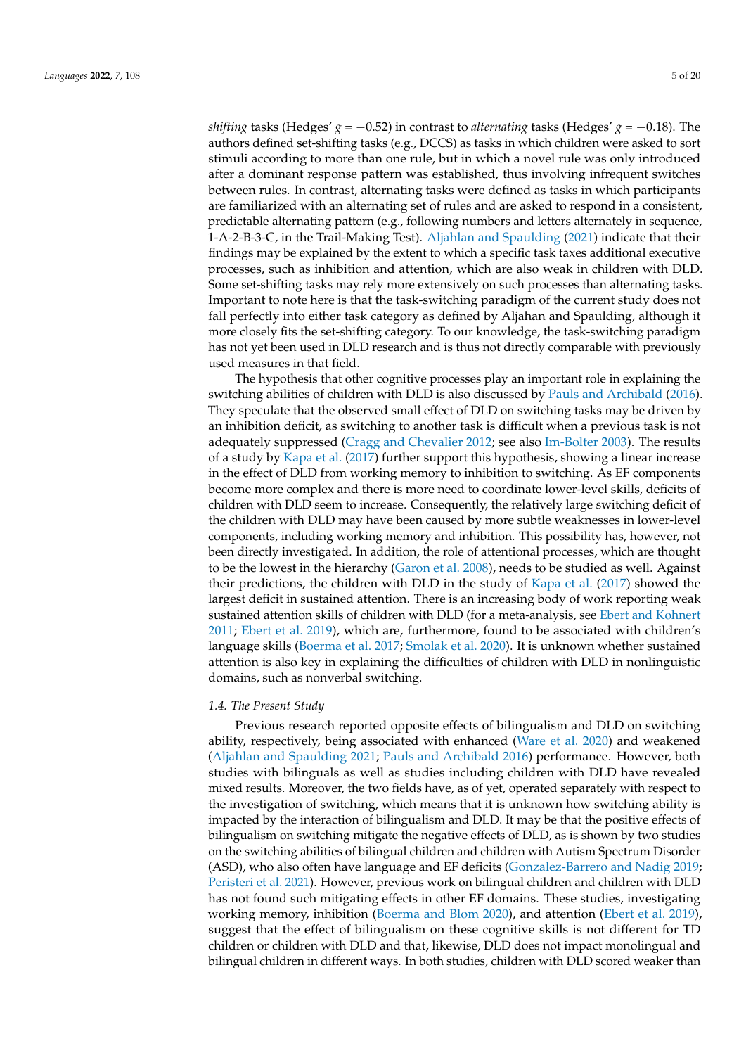*shifting* tasks (Hedges' *g* = −0.52) in contrast to *alternating* tasks (Hedges' *g* = −0.18). The authors defined set-shifting tasks (e.g., DCCS) as tasks in which children were asked to sort stimuli according to more than one rule, but in which a novel rule was only introduced after a dominant response pattern was established, thus involving infrequent switches between rules. In contrast, alternating tasks were defined as tasks in which participants are familiarized with an alternating set of rules and are asked to respond in a consistent, predictable alternating pattern (e.g., following numbers and letters alternately in sequence, 1-A-2-B-3-C, in the Trail-Making Test). [Aljahlan and Spaulding](#page-16-3) [\(2021\)](#page-16-3) indicate that their findings may be explained by the extent to which a specific task taxes additional executive processes, such as inhibition and attention, which are also weak in children with DLD. Some set-shifting tasks may rely more extensively on such processes than alternating tasks. Important to note here is that the task-switching paradigm of the current study does not fall perfectly into either task category as defined by Aljahan and Spaulding, although it more closely fits the set-shifting category. To our knowledge, the task-switching paradigm has not yet been used in DLD research and is thus not directly comparable with previously used measures in that field.

The hypothesis that other cognitive processes play an important role in explaining the switching abilities of children with DLD is also discussed by [Pauls and Archibald](#page-18-3) [\(2016\)](#page-18-3). They speculate that the observed small effect of DLD on switching tasks may be driven by an inhibition deficit, as switching to another task is difficult when a previous task is not adequately suppressed [\(Cragg and Chevalier](#page-16-9) [2012;](#page-16-9) see also [Im-Bolter](#page-17-21) [2003\)](#page-17-21). The results of a study by [Kapa et al.](#page-17-10) [\(2017\)](#page-17-10) further support this hypothesis, showing a linear increase in the effect of DLD from working memory to inhibition to switching. As EF components become more complex and there is more need to coordinate lower-level skills, deficits of children with DLD seem to increase. Consequently, the relatively large switching deficit of the children with DLD may have been caused by more subtle weaknesses in lower-level components, including working memory and inhibition. This possibility has, however, not been directly investigated. In addition, the role of attentional processes, which are thought to be the lowest in the hierarchy [\(Garon et al.](#page-17-8) [2008\)](#page-17-8), needs to be studied as well. Against their predictions, the children with DLD in the study of [Kapa et al.](#page-17-10) [\(2017\)](#page-17-10) showed the largest deficit in sustained attention. There is an increasing body of work reporting weak sustained attention skills of children with DLD (for a meta-analysis, see [Ebert and Kohnert](#page-17-22) [2011;](#page-17-22) [Ebert et al.](#page-17-9) [2019\)](#page-17-9), which are, furthermore, found to be associated with children's language skills [\(Boerma et al.](#page-16-17) [2017;](#page-16-17) [Smolak et al.](#page-18-8) [2020\)](#page-18-8). It is unknown whether sustained attention is also key in explaining the difficulties of children with DLD in nonlinguistic domains, such as nonverbal switching.

#### *1.4. The Present Study*

Previous research reported opposite effects of bilingualism and DLD on switching ability, respectively, being associated with enhanced [\(Ware et al.](#page-18-2) [2020\)](#page-18-2) and weakened [\(Aljahlan and Spaulding](#page-16-3) [2021;](#page-16-3) [Pauls and Archibald](#page-18-3) [2016\)](#page-18-3) performance. However, both studies with bilinguals as well as studies including children with DLD have revealed mixed results. Moreover, the two fields have, as of yet, operated separately with respect to the investigation of switching, which means that it is unknown how switching ability is impacted by the interaction of bilingualism and DLD. It may be that the positive effects of bilingualism on switching mitigate the negative effects of DLD, as is shown by two studies on the switching abilities of bilingual children and children with Autism Spectrum Disorder (ASD), who also often have language and EF deficits [\(Gonzalez-Barrero and Nadig](#page-17-23) [2019;](#page-17-23) [Peristeri et al.](#page-18-15) [2021\)](#page-18-15). However, previous work on bilingual children and children with DLD has not found such mitigating effects in other EF domains. These studies, investigating working memory, inhibition [\(Boerma and Blom](#page-16-18) [2020\)](#page-16-18), and attention [\(Ebert et al.](#page-17-9) [2019\)](#page-17-9), suggest that the effect of bilingualism on these cognitive skills is not different for TD children or children with DLD and that, likewise, DLD does not impact monolingual and bilingual children in different ways. In both studies, children with DLD scored weaker than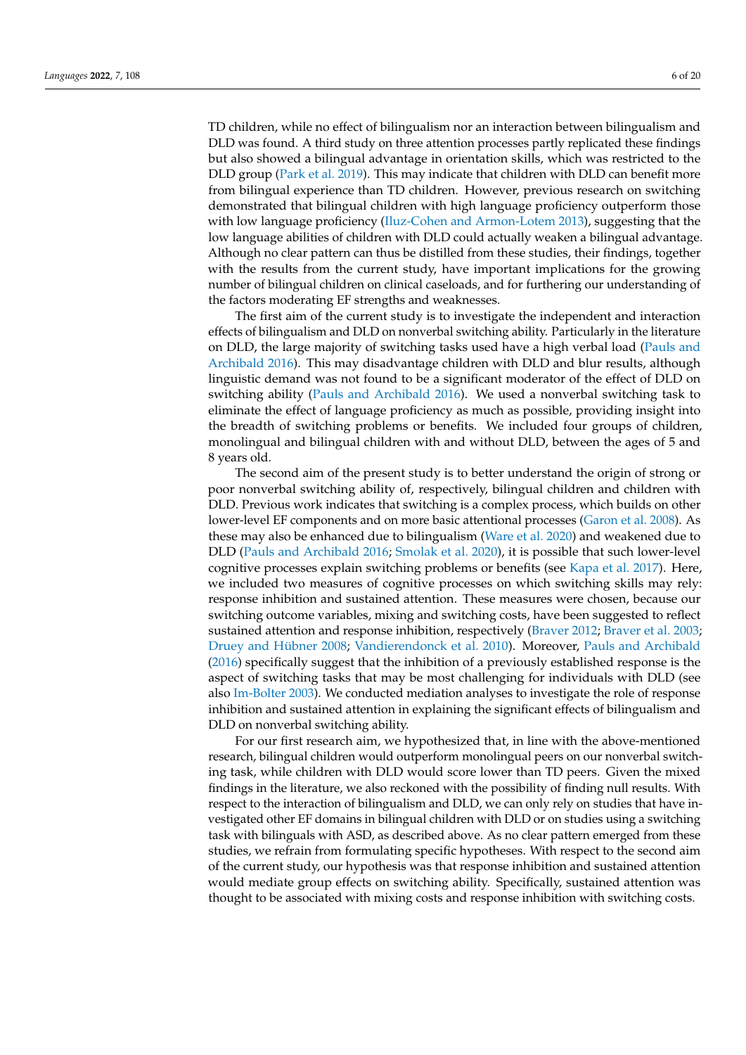TD children, while no effect of bilingualism nor an interaction between bilingualism and DLD was found. A third study on three attention processes partly replicated these findings but also showed a bilingual advantage in orientation skills, which was restricted to the DLD group [\(Park et al.](#page-18-16) [2019\)](#page-18-16). This may indicate that children with DLD can benefit more from bilingual experience than TD children. However, previous research on switching demonstrated that bilingual children with high language proficiency outperform those with low language proficiency [\(Iluz-Cohen and Armon-Lotem](#page-17-24) [2013\)](#page-17-24), suggesting that the low language abilities of children with DLD could actually weaken a bilingual advantage. Although no clear pattern can thus be distilled from these studies, their findings, together with the results from the current study, have important implications for the growing number of bilingual children on clinical caseloads, and for furthering our understanding of the factors moderating EF strengths and weaknesses.

The first aim of the current study is to investigate the independent and interaction effects of bilingualism and DLD on nonverbal switching ability. Particularly in the literature on DLD, the large majority of switching tasks used have a high verbal load [\(Pauls and](#page-18-3) [Archibald](#page-18-3) [2016\)](#page-18-3). This may disadvantage children with DLD and blur results, although linguistic demand was not found to be a significant moderator of the effect of DLD on switching ability [\(Pauls and Archibald](#page-18-3) [2016\)](#page-18-3). We used a nonverbal switching task to eliminate the effect of language proficiency as much as possible, providing insight into the breadth of switching problems or benefits. We included four groups of children, monolingual and bilingual children with and without DLD, between the ages of 5 and 8 years old.

The second aim of the present study is to better understand the origin of strong or poor nonverbal switching ability of, respectively, bilingual children and children with DLD. Previous work indicates that switching is a complex process, which builds on other lower-level EF components and on more basic attentional processes [\(Garon et al.](#page-17-8) [2008\)](#page-17-8). As these may also be enhanced due to bilingualism [\(Ware et al.](#page-18-2) [2020\)](#page-18-2) and weakened due to DLD [\(Pauls and Archibald](#page-18-3) [2016;](#page-18-3) [Smolak et al.](#page-18-8) [2020\)](#page-18-8), it is possible that such lower-level cognitive processes explain switching problems or benefits (see [Kapa et al.](#page-17-10) [2017\)](#page-17-10). Here, we included two measures of cognitive processes on which switching skills may rely: response inhibition and sustained attention. These measures were chosen, because our switching outcome variables, mixing and switching costs, have been suggested to reflect sustained attention and response inhibition, respectively [\(Braver](#page-16-11) [2012;](#page-16-11) [Braver et al.](#page-16-10) [2003;](#page-16-10) [Druey and Hübner](#page-17-12) [2008;](#page-17-12) [Vandierendonck et al.](#page-18-10) [2010\)](#page-18-10). Moreover, [Pauls and Archibald](#page-18-3) [\(2016\)](#page-18-3) specifically suggest that the inhibition of a previously established response is the aspect of switching tasks that may be most challenging for individuals with DLD (see also [Im-Bolter](#page-17-21) [2003\)](#page-17-21). We conducted mediation analyses to investigate the role of response inhibition and sustained attention in explaining the significant effects of bilingualism and DLD on nonverbal switching ability.

For our first research aim, we hypothesized that, in line with the above-mentioned research, bilingual children would outperform monolingual peers on our nonverbal switching task, while children with DLD would score lower than TD peers. Given the mixed findings in the literature, we also reckoned with the possibility of finding null results. With respect to the interaction of bilingualism and DLD, we can only rely on studies that have investigated other EF domains in bilingual children with DLD or on studies using a switching task with bilinguals with ASD, as described above. As no clear pattern emerged from these studies, we refrain from formulating specific hypotheses. With respect to the second aim of the current study, our hypothesis was that response inhibition and sustained attention would mediate group effects on switching ability. Specifically, sustained attention was thought to be associated with mixing costs and response inhibition with switching costs.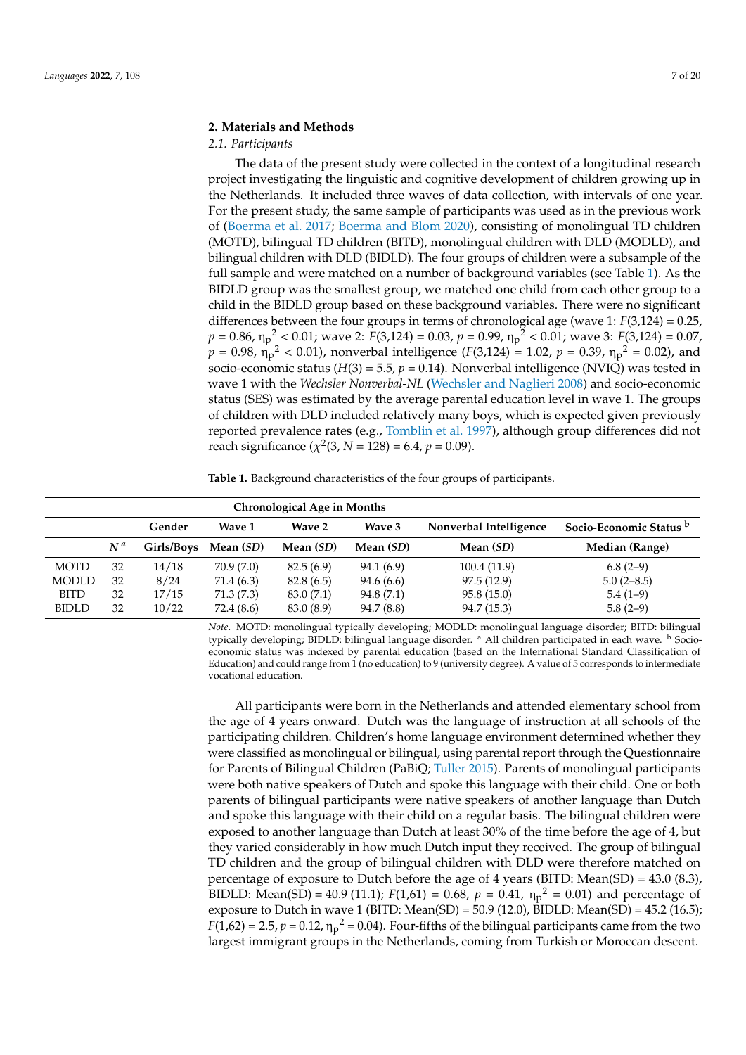# **2. Materials and Methods**

# *2.1. Participants*

The data of the present study were collected in the context of a longitudinal research project investigating the linguistic and cognitive development of children growing up in the Netherlands. It included three waves of data collection, with intervals of one year. For the present study, the same sample of participants was used as in the previous work of [\(Boerma et al.](#page-16-17) [2017;](#page-16-17) [Boerma and Blom](#page-16-18) [2020\)](#page-16-18), consisting of monolingual TD children (MOTD), bilingual TD children (BITD), monolingual children with DLD (MODLD), and bilingual children with DLD (BIDLD). The four groups of children were a subsample of the full sample and were matched on a number of background variables (see Table [1\)](#page-6-0). As the BIDLD group was the smallest group, we matched one child from each other group to a child in the BIDLD group based on these background variables. There were no significant differences between the four groups in terms of chronological age (wave 1: *F*(3,124) = 0.25, *p* = 0.86, η<sup>p</sup> <sup>2</sup> < 0.01; wave 2: *F*(3,124) = 0.03, *p* = 0.99, η<sup>p</sup> <sup>2</sup> < 0.01; wave 3: *F*(3,124) = 0.07,  $p = 0.98$ ,  $\eta_p^2 < 0.01$ ), nonverbal intelligence (*F*(3,124) = 1.02, *p* = 0.39,  $\eta_p^2 = 0.02$ ), and socio-economic status ( $H(3) = 5.5$ ,  $p = 0.14$ ). Nonverbal intelligence (NVIQ) was tested in wave 1 with the *Wechsler Nonverbal-NL* [\(Wechsler and Naglieri](#page-19-1) [2008\)](#page-19-1) and socio-economic status (SES) was estimated by the average parental education level in wave 1. The groups of children with DLD included relatively many boys, which is expected given previously reported prevalence rates (e.g., [Tomblin et al.](#page-18-17) [1997\)](#page-18-17), although group differences did not reach significance  $(\chi^2(3, N = 128) = 6.4, p = 0.09)$ .

<span id="page-6-0"></span>**Table 1.** Background characteristics of the four groups of participants.

|              |       |            |                                    | <b>Chronological Age in Months</b> |            |              |                |
|--------------|-------|------------|------------------------------------|------------------------------------|------------|--------------|----------------|
|              |       | Gender     | Socio-Economic Status <sup>b</sup> |                                    |            |              |                |
|              | $N^a$ | Girls/Boys | Mean (SD)                          | Mean (SD)                          | Mean (SD)  | Mean (SD)    | Median (Range) |
| <b>MOTD</b>  | 32    | 14/18      | 70.9 (7.0)                         | 82.5(6.9)                          | 94.1 (6.9) | 100.4 (11.9) | $6.8(2-9)$     |
| <b>MODLD</b> | 32    | 8/24       | 71.4 (6.3)                         | 82.8(6.5)                          | 94.6 (6.6) | 97.5 (12.9)  | $5.0(2 - 8.5)$ |
| <b>BITD</b>  | 32    | 17/15      | 71.3(7.3)                          | 83.0 (7.1)                         | 94.8 (7.1) | 95.8(15.0)   | $5.4(1-9)$     |
| <b>BIDLD</b> | 32    | 10/22      | 72.4 (8.6)                         | 83.0 (8.9)                         | 94.7 (8.8) | 94.7 (15.3)  | $5.8(2-9)$     |

*Note*. MOTD: monolingual typically developing; MODLD: monolingual language disorder; BITD: bilingual typically developing; BIDLD: bilingual language disorder. <sup>a</sup> All children participated in each wave. <sup>b</sup> Socioeconomic status was indexed by parental education (based on the International Standard Classification of Education) and could range from 1 (no education) to 9 (university degree). A value of 5 corresponds to intermediate vocational education.

All participants were born in the Netherlands and attended elementary school from the age of 4 years onward. Dutch was the language of instruction at all schools of the participating children. Children's home language environment determined whether they were classified as monolingual or bilingual, using parental report through the Questionnaire for Parents of Bilingual Children (PaBiQ; [Tuller](#page-18-18) [2015\)](#page-18-18). Parents of monolingual participants were both native speakers of Dutch and spoke this language with their child. One or both parents of bilingual participants were native speakers of another language than Dutch and spoke this language with their child on a regular basis. The bilingual children were exposed to another language than Dutch at least 30% of the time before the age of 4, but they varied considerably in how much Dutch input they received. The group of bilingual TD children and the group of bilingual children with DLD were therefore matched on percentage of exposure to Dutch before the age of 4 years (BITD: Mean(SD) = 43.0 (8.3), BIDLD: Mean(SD) = 40.9 (11.1);  $F(1,61) = 0.68$ ,  $p = 0.41$ ,  $\eta_p^2 = 0.01$ ) and percentage of exposure to Dutch in wave 1 (BITD: Mean(SD) = 50.9 (12.0), BIDLD: Mean(SD) = 45.2 (16.5);  $F(1,62) = 2.5$ ,  $p = 0.12$ ,  $\eta_p^2 = 0.04$ ). Four-fifths of the bilingual participants came from the two largest immigrant groups in the Netherlands, coming from Turkish or Moroccan descent.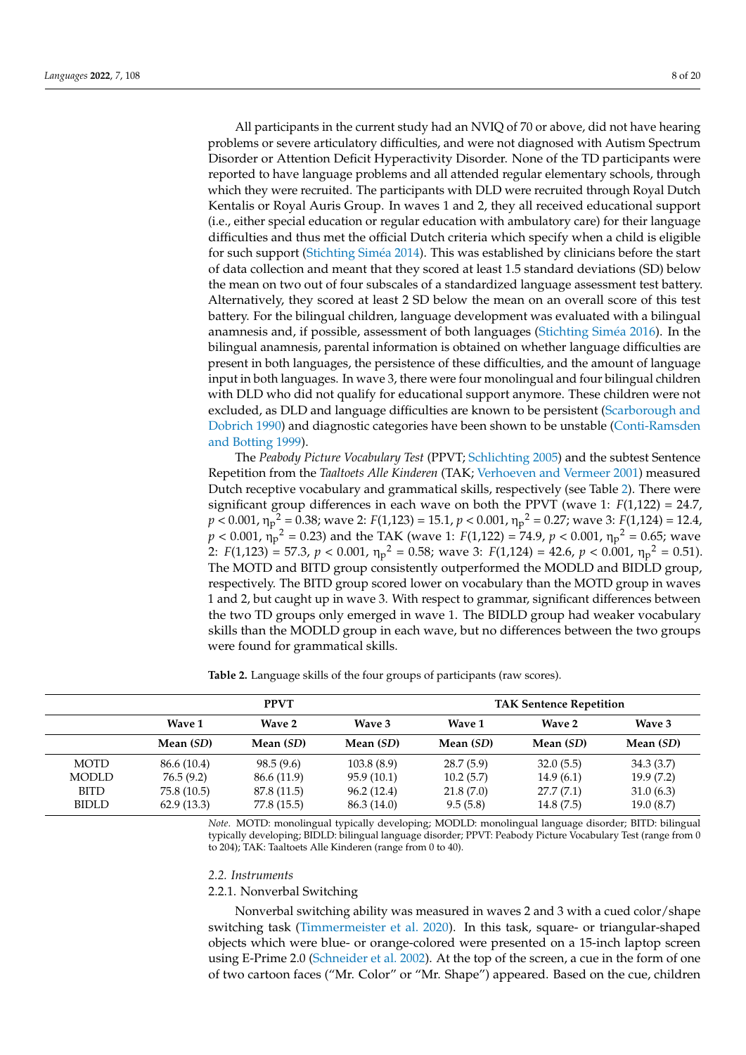All participants in the current study had an NVIQ of 70 or above, did not have hearing problems or severe articulatory difficulties, and were not diagnosed with Autism Spectrum Disorder or Attention Deficit Hyperactivity Disorder. None of the TD participants were reported to have language problems and all attended regular elementary schools, through which they were recruited. The participants with DLD were recruited through Royal Dutch Kentalis or Royal Auris Group. In waves 1 and 2, they all received educational support (i.e., either special education or regular education with ambulatory care) for their language difficulties and thus met the official Dutch criteria which specify when a child is eligible for such support [\(Stichting Sim](#page-18-19)éa [2014\)](#page-18-19). This was established by clinicians before the start of data collection and meant that they scored at least 1.5 standard deviations (SD) below the mean on two out of four subscales of a standardized language assessment test battery. Alternatively, they scored at least 2 SD below the mean on an overall score of this test battery. For the bilingual children, language development was evaluated with a bilingual anamnesis and, if possible, assessment of both languages [\(Stichting Sim](#page-18-20)éa [2016\)](#page-18-20). In the bilingual anamnesis, parental information is obtained on whether language difficulties are present in both languages, the persistence of these difficulties, and the amount of language input in both languages. In wave 3, there were four monolingual and four bilingual children with DLD who did not qualify for educational support anymore. These children were not excluded, as DLD and language difficulties are known to be persistent [\(Scarborough and](#page-18-21) [Dobrich](#page-18-21) [1990\)](#page-18-21) and diagnostic categories have been shown to be unstable [\(Conti-Ramsden](#page-16-19) [and Botting](#page-16-19) [1999\)](#page-16-19).

The *Peabody Picture Vocabulary Test* (PPVT; [Schlichting](#page-18-22) [2005\)](#page-18-22) and the subtest Sentence Repetition from the *Taaltoets Alle Kinderen* (TAK; [Verhoeven and Vermeer](#page-18-23) [2001\)](#page-18-23) measured Dutch receptive vocabulary and grammatical skills, respectively (see Table [2\)](#page-7-0). There were significant group differences in each wave on both the PPVT (wave 1:  $F(1,122) = 24.7$ , *p* < 0.001, η<sup>p</sup> <sup>2</sup> = 0.38; wave 2: *F*(1,123) = 15.1, *p* < 0.001, η<sup>p</sup> <sup>2</sup> = 0.27; wave 3: *F*(1,124) = 12.4,  $p < 0.001$ ,  $\eta_p^2 = 0.23$ ) and the TAK (wave 1: *F*(1,122) = 74.9, *p* < 0.001,  $\eta_p^2 = 0.65$ ; wave 2:  $F(1,123) = 57.3, p < 0.001, \eta_p^2 = 0.58$ ; wave 3:  $F(1,124) = 42.6, p < 0.001, \eta_p^2 = 0.51$ ). The MOTD and BITD group consistently outperformed the MODLD and BIDLD group, respectively. The BITD group scored lower on vocabulary than the MOTD group in waves 1 and 2, but caught up in wave 3. With respect to grammar, significant differences between the two TD groups only emerged in wave 1. The BIDLD group had weaker vocabulary skills than the MODLD group in each wave, but no differences between the two groups were found for grammatical skills.

<span id="page-7-0"></span>**Table 2.** Language skills of the four groups of participants (raw scores).

|              |             | <b>PPVT</b>   |             | <b>TAK Sentence Repetition</b> |           |           |  |
|--------------|-------------|---------------|-------------|--------------------------------|-----------|-----------|--|
|              | Wave 1      | <b>Wave 2</b> | Wave 3      | Wave 1                         | Wave 2    | Wave 3    |  |
|              | Mean (SD)   | Mean (SD)     | Mean (SD)   | Mean (SD)                      | Mean (SD) | Mean (SD) |  |
| <b>MOTD</b>  | 86.6 (10.4) | 98.5(9.6)     | 103.8(8.9)  | 28.7(5.9)                      | 32.0(5.5) | 34.3(3.7) |  |
| <b>MODLD</b> | 76.5(9.2)   | 86.6 (11.9)   | 95.9 (10.1) | 10.2(5.7)                      | 14.9(6.1) | 19.9(7.2) |  |
| <b>BITD</b>  | 75.8 (10.5) | 87.8 (11.5)   | 96.2(12.4)  | 21.8(7.0)                      | 27.7(7.1) | 31.0(6.3) |  |
| <b>BIDLD</b> | 62.9(13.3)  | 77.8 (15.5)   | 86.3 (14.0) | 9.5(5.8)                       | 14.8(7.5) | 19.0(8.7) |  |

*Note*. MOTD: monolingual typically developing; MODLD: monolingual language disorder; BITD: bilingual typically developing; BIDLD: bilingual language disorder; PPVT: Peabody Picture Vocabulary Test (range from 0 to 204); TAK: Taaltoets Alle Kinderen (range from 0 to 40).

#### *2.2. Instruments*

#### 2.2.1. Nonverbal Switching

Nonverbal switching ability was measured in waves 2 and 3 with a cued color/shape switching task [\(Timmermeister et al.](#page-18-6) [2020\)](#page-18-6). In this task, square- or triangular-shaped objects which were blue- or orange-colored were presented on a 15-inch laptop screen using E-Prime 2.0 [\(Schneider et al.](#page-18-24) [2002\)](#page-18-24). At the top of the screen, a cue in the form of one of two cartoon faces ("Mr. Color" or "Mr. Shape") appeared. Based on the cue, children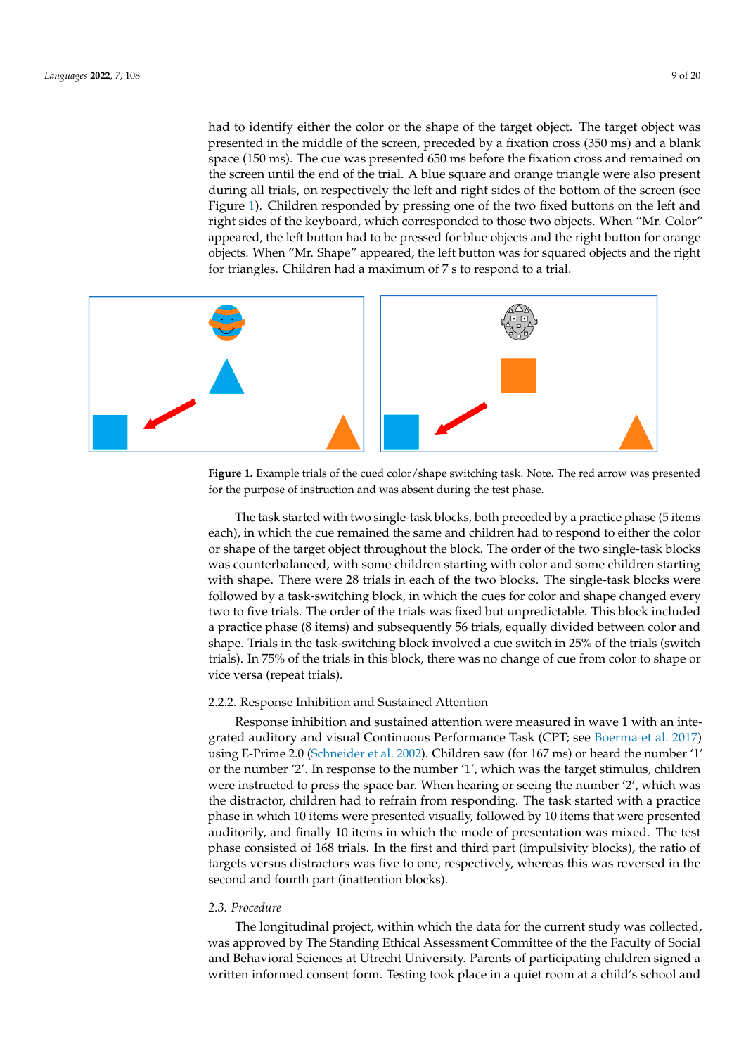had to identify either the color or the shape of the target object. The target object was had to identify either the color or the shape of the target object. The target object was presented in the middle of the screen, preceded by a fixation cross (350 ms) and a blank presented in the middle of the screen, preceded by a fixation cross (350 ms) and a blank space (150 ms). The cue was presented 650 ms before the fixation cross and remained on space (150 ms). The cue was presented 650 ms before the fixation cross and remained on the screen until the end of the trial. A blue square and orange triangle were also present the screen until the end of the trial. A blue square and orange triangle were also present during all trials, on respectively the left and right sides of the bottom of the screen (see during all trials, on respectively the left and right sides of the bottom of the screen (see Figure 1). Children responded by pressing one of the two fixed buttons on the left and Figure [1\)](#page-8-0). Children responded by pressing one of the two fixed buttons on the left and right sides of the keyboard, which corresponded to those two objects. When "Mr. Color" right sides of the keyboard, which corresponded to those two objects. When "Mr. Color" appeared, the left button had to be pressed for blue objects and the right button for orange appeared, the left button had to be pressed for blue objects and the right button for orange objects. When "Mr. Shape" appeared, the left button was for squared objects and the right objects. When "Mr. Shape" appeared, the left button was for squared objects and the right for triangles. Children had a maximum of 7 s to respond to a trial. for triangles. Children had a maximum of 7 s to respond to a trial.

<span id="page-8-0"></span>

**Figure 1.** Example trials of the cued color/shape switching task. Note. The red arrow was **Figure 1.** Example trials of the cued color/shape switching task. Note. The red arrow was presented for the purpose of instruction and was absent during the test phase.

The task started with two single-task blocks, both preceded by a practice phase (5 The task started with two single-task blocks, both preceded by a practice phase (5 items each), in which the cue remained the same and children had to respond to either the color or shape of the target object throughout the block. The order of the two single-task blocks was counterbalanced, with some children starting with color and some children starting with shape. There were 28 trials in each of the two blocks. The single-task blocks were followed by a task-switching block, in which the cues for color and shape changed every two to five trials. The order of the trials was fixed but unpredictable. This block included a practice phase (8 items) and subsequently 56 trials, equally divided between color and shape. Trials in the task-switching block involved a cue switch in 25% of the trials (switch trials). In 75% of the trials in this block, there was no change of cue from color to shape or vice versa (repeat trials).

# 2.2.2. Response Inhibition and Sustained Attention 2.2.2. Response Inhibition and Sustained Attention

Response inhibition and sustained attention were measured in wave 1 with an Response inhibition and sustained attention were measured in wave 1 with an inte-grated auditory and visual Continuous Performance Task (CPT; see [Boerma et al.](#page-16-17) [2017\)](#page-16-17) 2017) using E-Prime 2.0 (Schneider et al. 2002). Children saw (for 167 ms) or heard the using E-Prime 2.0 [\(Schneider et al.](#page-18-24) [2002\)](#page-18-24). Children saw (for 167 ms) or heard the number '1' or the number '2'. In response to the number '1', which was the target stimulus, children were instructed to press the space bar. When hearing or seeing the number  $2'$ , which was the distractor, children had to refrain from responding. The task started with a practice phase in which 10 items were presented visually, followed by 10 items that were presented visually auditorily, and finally 10 items in which the mode of presentation was mixed. The test phase consisted of 168 trials. In the first and third part (impulsivity blocks), the ratio of targets versus distractors was five to one, respectively, whereas this was reversed in the second and fourth part (inattention blocks).

#### *2.3. Procedure*

*2.3. Procedure*  The longitudinal project, within which the data for the current study was collected, was approved by The Standing Ethical Assessment Committee of the the Faculty of Social and Behavioral Sciences at Utrecht University. Parents of participating children signed a written informed consent form. Testing took place in a quiet room at a child's school and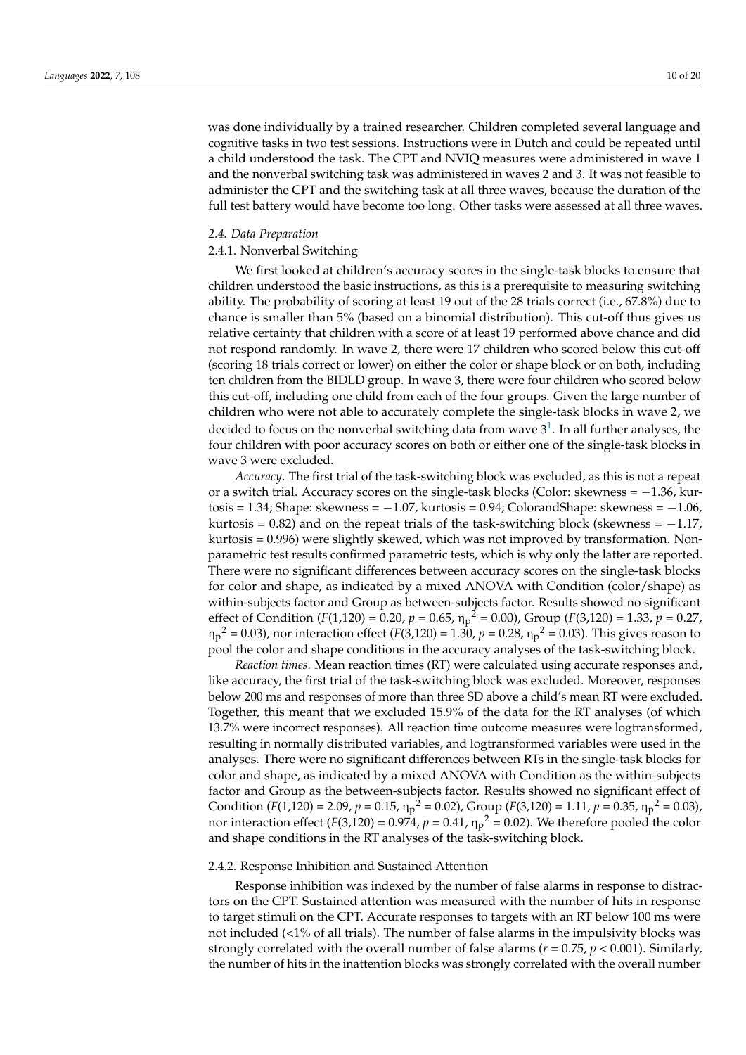was done individually by a trained researcher. Children completed several language and cognitive tasks in two test sessions. Instructions were in Dutch and could be repeated until a child understood the task. The CPT and NVIQ measures were administered in wave 1 and the nonverbal switching task was administered in waves 2 and 3. It was not feasible to administer the CPT and the switching task at all three waves, because the duration of the full test battery would have become too long. Other tasks were assessed at all three waves.

#### *2.4. Data Preparation*

### 2.4.1. Nonverbal Switching

We first looked at children's accuracy scores in the single-task blocks to ensure that children understood the basic instructions, as this is a prerequisite to measuring switching ability. The probability of scoring at least 19 out of the 28 trials correct (i.e., 67.8%) due to chance is smaller than 5% (based on a binomial distribution). This cut-off thus gives us relative certainty that children with a score of at least 19 performed above chance and did not respond randomly. In wave 2, there were 17 children who scored below this cut-off (scoring 18 trials correct or lower) on either the color or shape block or on both, including ten children from the BIDLD group. In wave 3, there were four children who scored below this cut-off, including one child from each of the four groups. Given the large number of children who were not able to accurately complete the single-task blocks in wave 2, we decided to focus on the nonverbal switching data from wave  $3^1$  $3^1$ . In all further analyses, the four children with poor accuracy scores on both or either one of the single-task blocks in wave 3 were excluded.

<span id="page-9-0"></span>*Accuracy*. The first trial of the task-switching block was excluded, as this is not a repeat or a switch trial. Accuracy scores on the single-task blocks (Color: skewness =  $-1.36$ , kurtosis =  $1.34$ ; Shape: skewness =  $-1.07$ , kurtosis =  $0.94$ ; ColorandShape: skewness =  $-1.06$ , kurtosis =  $0.82$ ) and on the repeat trials of the task-switching block (skewness =  $-1.17$ , kurtosis = 0.996) were slightly skewed, which was not improved by transformation. Nonparametric test results confirmed parametric tests, which is why only the latter are reported. There were no significant differences between accuracy scores on the single-task blocks for color and shape, as indicated by a mixed ANOVA with Condition (color/shape) as within-subjects factor and Group as between-subjects factor. Results showed no significant effect of Condition (*F*(1,120) = 0.20,  $p = 0.65$ ,  $\eta_p^2 = 0.00$ ), Group (*F*(3,120) = 1.33,  $p = 0.27$ , η<sub>p</sub><sup>2</sup> = 0.03), nor interaction effect (*F*(3,120) = 1.30, *p* = 0.28, η<sub>p</sub><sup>2</sup> = 0.03). This gives reason to pool the color and shape conditions in the accuracy analyses of the task-switching block.

*Reaction times*. Mean reaction times (RT) were calculated using accurate responses and, like accuracy, the first trial of the task-switching block was excluded. Moreover, responses below 200 ms and responses of more than three SD above a child's mean RT were excluded. Together, this meant that we excluded 15.9% of the data for the RT analyses (of which 13.7% were incorrect responses). All reaction time outcome measures were logtransformed, resulting in normally distributed variables, and logtransformed variables were used in the analyses. There were no significant differences between RTs in the single-task blocks for color and shape, as indicated by a mixed ANOVA with Condition as the within-subjects factor and Group as the between-subjects factor. Results showed no significant effect of Condition (*F*(1,120) = 2.09, *p* = 0.15,  $\eta_p^2$  = 0.02), Group (*F*(3,120) = 1.11, *p* = 0.35,  $\eta_p^2$  = 0.03), nor interaction effect ( $F(3,120) = 0.974$ ,  $p = 0.41$ ,  $\eta_p^2 = 0.02$ ). We therefore pooled the color and shape conditions in the RT analyses of the task-switching block.

#### 2.4.2. Response Inhibition and Sustained Attention

Response inhibition was indexed by the number of false alarms in response to distractors on the CPT. Sustained attention was measured with the number of hits in response to target stimuli on the CPT. Accurate responses to targets with an RT below 100 ms were not included (<1% of all trials). The number of false alarms in the impulsivity blocks was strongly correlated with the overall number of false alarms (*r* = 0.75, *p* < 0.001). Similarly, the number of hits in the inattention blocks was strongly correlated with the overall number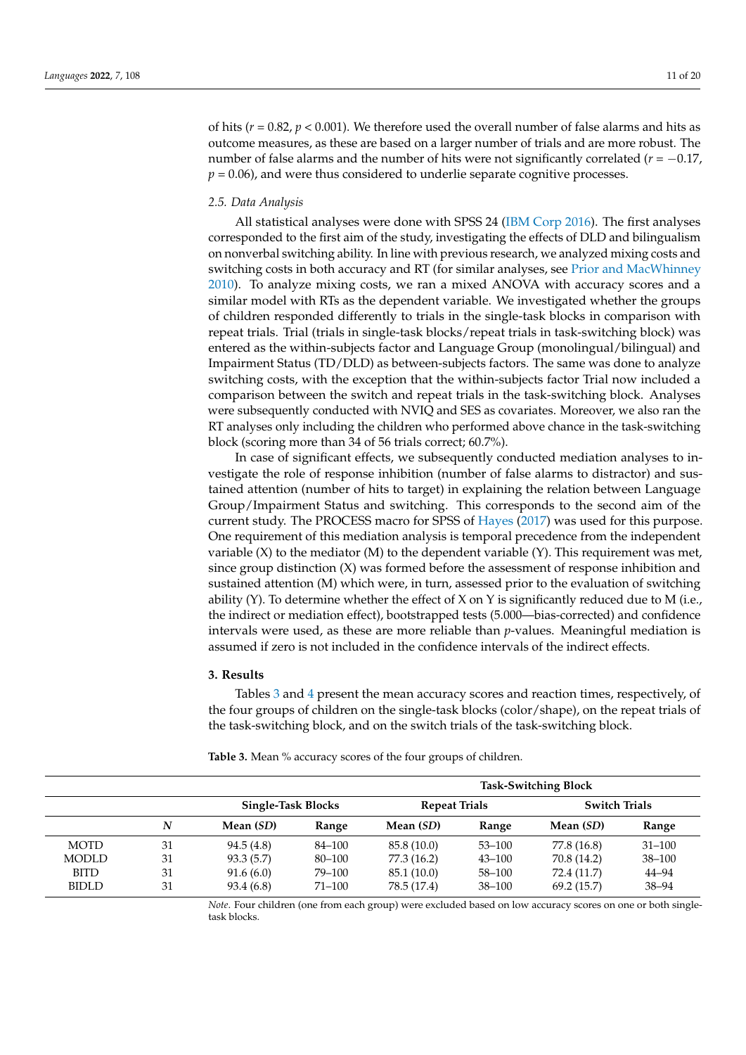of hits ( $r = 0.82$ ,  $p < 0.001$ ). We therefore used the overall number of false alarms and hits as outcome measures, as these are based on a larger number of trials and are more robust. The number of false alarms and the number of hits were not significantly correlated (*r* = −0.17,  $p = 0.06$ ), and were thus considered to underlie separate cognitive processes.

#### *2.5. Data Analysis*

All statistical analyses were done with SPSS 24 [\(IBM Corp](#page-17-25) [2016\)](#page-17-25). The first analyses corresponded to the first aim of the study, investigating the effects of DLD and bilingualism on nonverbal switching ability. In line with previous research, we analyzed mixing costs and switching costs in both accuracy and RT (for similar analyses, see [Prior and MacWhinney](#page-18-4) [2010\)](#page-18-4). To analyze mixing costs, we ran a mixed ANOVA with accuracy scores and a similar model with RTs as the dependent variable. We investigated whether the groups of children responded differently to trials in the single-task blocks in comparison with repeat trials. Trial (trials in single-task blocks/repeat trials in task-switching block) was entered as the within-subjects factor and Language Group (monolingual/bilingual) and Impairment Status (TD/DLD) as between-subjects factors. The same was done to analyze switching costs, with the exception that the within-subjects factor Trial now included a comparison between the switch and repeat trials in the task-switching block. Analyses were subsequently conducted with NVIQ and SES as covariates. Moreover, we also ran the RT analyses only including the children who performed above chance in the task-switching block (scoring more than 34 of 56 trials correct; 60.7%).

In case of significant effects, we subsequently conducted mediation analyses to investigate the role of response inhibition (number of false alarms to distractor) and sustained attention (number of hits to target) in explaining the relation between Language Group/Impairment Status and switching. This corresponds to the second aim of the current study. The PROCESS macro for SPSS of [Hayes](#page-17-26) [\(2017\)](#page-17-26) was used for this purpose. One requirement of this mediation analysis is temporal precedence from the independent variable  $(X)$  to the mediator  $(M)$  to the dependent variable  $(Y)$ . This requirement was met, since group distinction (X) was formed before the assessment of response inhibition and sustained attention (M) which were, in turn, assessed prior to the evaluation of switching ability  $(Y)$ . To determine whether the effect of  $X$  on  $Y$  is significantly reduced due to M (i.e., the indirect or mediation effect), bootstrapped tests (5.000—bias-corrected) and confidence intervals were used, as these are more reliable than *p*-values. Meaningful mediation is assumed if zero is not included in the confidence intervals of the indirect effects.

#### **3. Results**

Tables [3](#page-10-0) and [4](#page-11-0) present the mean accuracy scores and reaction times, respectively, of the four groups of children on the single-task blocks (color/shape), on the repeat trials of the task-switching block, and on the switch trials of the task-switching block.

|              |    |                    |            | <b>Task-Switching Block</b> |              |                      |            |  |
|--------------|----|--------------------|------------|-----------------------------|--------------|----------------------|------------|--|
|              |    | Single-Task Blocks |            | <b>Repeat Trials</b>        |              | <b>Switch Trials</b> |            |  |
|              | N  | Mean (SD)          | Range      | Mean (SD)                   | <b>Range</b> | Mean (SD)            | Range      |  |
| <b>MOTD</b>  | 31 | 94.5(4.8)          | 84–100     | 85.8 (10.0)                 | $53 - 100$   | 77.8 (16.8)          | $31 - 100$ |  |
| <b>MODLD</b> | 31 | 93.3(5.7)          | 80–100     | 77.3 (16.2)                 | $43 - 100$   | 70.8 (14.2)          | $38 - 100$ |  |
| <b>BITD</b>  | 31 | 91.6(6.0)          | 79–100     | 85.1 (10.0)                 | 58-100       | 72.4 (11.7)          | 44-94      |  |
| <b>BIDLD</b> | 31 | 93.4 (6.8)         | $71 - 100$ | 78.5 (17.4)                 | $38 - 100$   | 69.2(15.7)           | $38 - 94$  |  |

<span id="page-10-0"></span>**Table 3.** Mean % accuracy scores of the four groups of children.

*Note*. Four children (one from each group) were excluded based on low accuracy scores on one or both singletask blocks.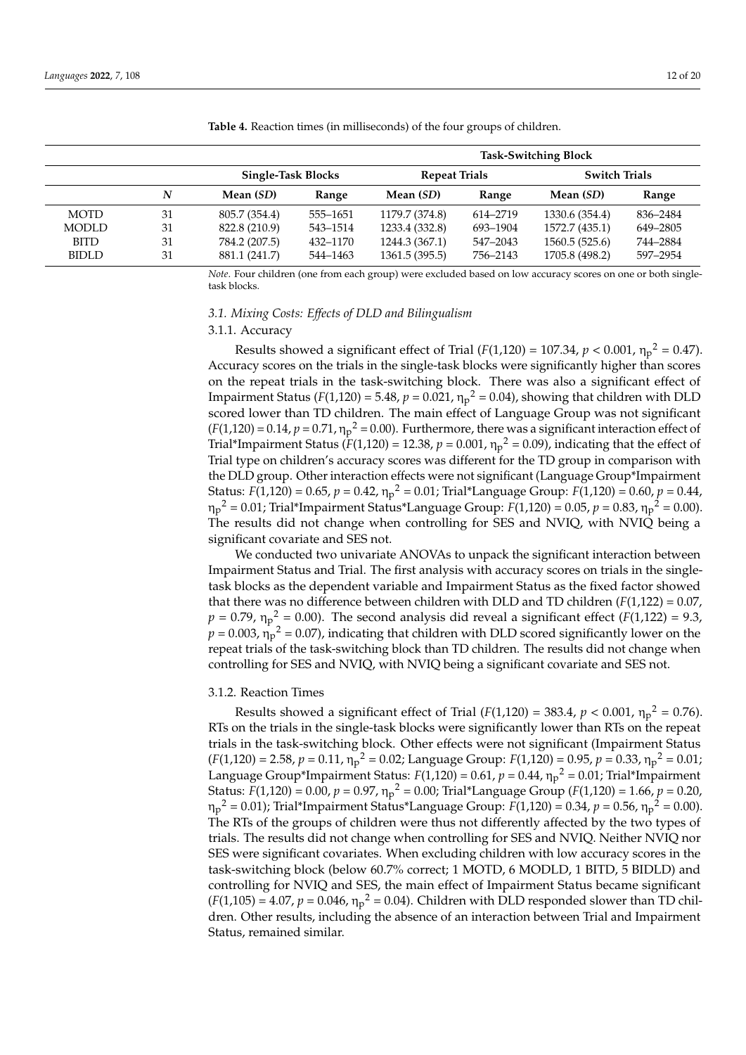|              |    |                           |          | <b>Task-Switching Block</b> |          |                      |          |  |
|--------------|----|---------------------------|----------|-----------------------------|----------|----------------------|----------|--|
|              |    | <b>Single-Task Blocks</b> |          | <b>Repeat Trials</b>        |          | <b>Switch Trials</b> |          |  |
|              | N  | Mean (SD)                 | Range    | Mean (SD)                   | Range    | Mean (SD)            | Range    |  |
| <b>MOTD</b>  | 31 | 805.7 (354.4)             | 555-1651 | 1179.7 (374.8)              | 614-2719 | 1330.6 (354.4)       | 836–2484 |  |
| <b>MODLD</b> | 31 | 822.8 (210.9)             | 543-1514 | 1233.4 (332.8)              | 693-1904 | 1572.7 (435.1)       | 649–2805 |  |
| <b>BITD</b>  | 31 | 784.2 (207.5)             | 432-1170 | 1244.3 (367.1)              | 547-2043 | 1560.5 (525.6)       | 744-2884 |  |
| <b>BIDLD</b> | 31 | 881.1 (241.7)             | 544-1463 | 1361.5 (395.5)              | 756–2143 | 1705.8 (498.2)       | 597-2954 |  |

<span id="page-11-0"></span>**Table 4.** Reaction times (in milliseconds) of the four groups of children.

*Note*. Four children (one from each group) were excluded based on low accuracy scores on one or both singletask blocks.

# *3.1. Mixing Costs: Effects of DLD and Bilingualism*

#### 3.1.1. Accuracy

Results showed a significant effect of Trial  $(F(1,120) = 107.34, p < 0.001, \eta_p^2 = 0.47)$ . Accuracy scores on the trials in the single-task blocks were significantly higher than scores on the repeat trials in the task-switching block. There was also a significant effect of Impairment Status ( $F(1,120) = 5.48$ ,  $p = 0.021$ ,  $\eta_p^2 = 0.04$ ), showing that children with DLD scored lower than TD children. The main effect of Language Group was not significant  $(F(1,120) = 0.14, p = 0.71, \eta_p^2 = 0.00)$ . Furthermore, there was a significant interaction effect of Trial\*Impairment Status ( $F(1,120) = 12.38$ ,  $p = 0.001$ ,  $\eta_p^2 = 0.09$ ), indicating that the effect of Trial type on children's accuracy scores was different for the TD group in comparison with the DLD group. Other interaction effects were not significant (Language Group\*Impairment Status: *F*(1,120) = 0.65, *p* = 0.42, η<sup>p</sup> <sup>2</sup> = 0.01; Trial\*Language Group: *F*(1,120) = 0.60, *p* = 0.44, ηp <sup>2</sup> = 0.01; Trial\*Impairment Status\*Language Group: *F*(1,120) = 0.05, *p* = 0.83, η<sup>p</sup> <sup>2</sup> = 0.00). The results did not change when controlling for SES and NVIQ, with NVIQ being a significant covariate and SES not.

We conducted two univariate ANOVAs to unpack the significant interaction between Impairment Status and Trial. The first analysis with accuracy scores on trials in the singletask blocks as the dependent variable and Impairment Status as the fixed factor showed that there was no difference between children with DLD and TD children  $(F(1,122) = 0.07$ ,  $p = 0.79$ ,  $\eta_p^2 = 0.00$ ). The second analysis did reveal a significant effect (*F*(1,122) = 9.3,  $p = 0.003$ ,  $\eta_p^2 = 0.07$ ), indicating that children with DLD scored significantly lower on the repeat trials of the task-switching block than TD children. The results did not change when controlling for SES and NVIQ, with NVIQ being a significant covariate and SES not.

#### 3.1.2. Reaction Times

Results showed a significant effect of Trial  $(F(1,120) = 383.4, p < 0.001, \eta_p^2 = 0.76)$ . RTs on the trials in the single-task blocks were significantly lower than RTs on the repeat trials in the task-switching block. Other effects were not significant (Impairment Status  $(F(1,120) = 2.58, p = 0.11, \eta_p^2 = 0.02$ ; Language Group:  $F(1,120) = 0.95, p = 0.33, \eta_p^2 = 0.01$ ; Language Group\*Impairment Status: *F*(1,120) = 0.61, *p* = 0.44, η<sub>p</sub><sup>2</sup> = 0.01; Trial\*Impairment Status: *F*(1,120) = 0.00, *p* = 0.97, η<sup>p</sup> <sup>2</sup> = 0.00; Trial\*Language Group (*F*(1,120) = 1.66, *p* = 0.20, ηp <sup>2</sup> = 0.01); Trial\*Impairment Status\*Language Group: *F*(1,120) = 0.34, *p* = 0.56, η<sup>p</sup> <sup>2</sup> = 0.00). The RTs of the groups of children were thus not differently affected by the two types of trials. The results did not change when controlling for SES and NVIQ. Neither NVIQ nor SES were significant covariates. When excluding children with low accuracy scores in the task-switching block (below 60.7% correct; 1 MOTD, 6 MODLD, 1 BITD, 5 BIDLD) and controlling for NVIQ and SES, the main effect of Impairment Status became significant  $(F(1,105) = 4.07, p = 0.046, \eta_p^2 = 0.04$ . Children with DLD responded slower than TD children. Other results, including the absence of an interaction between Trial and Impairment Status, remained similar.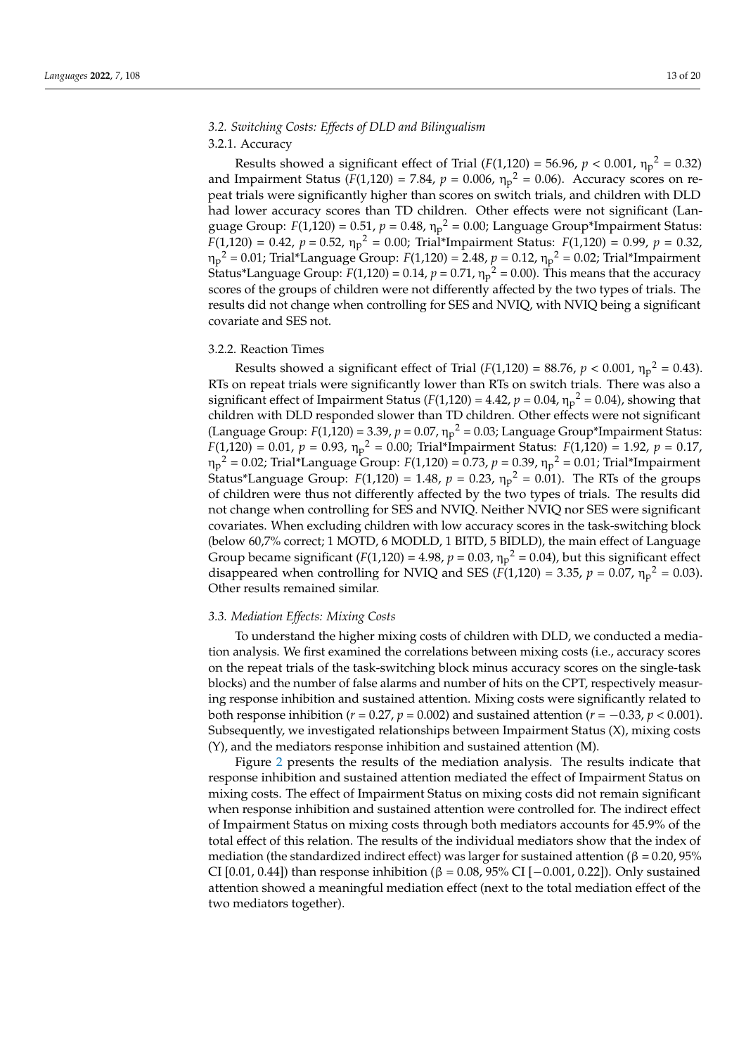# *3.2. Switching Costs: Effects of DLD and Bilingualism*

# 3.2.1. Accuracy

Results showed a significant effect of Trial  $(F(1,120) = 56.96, p < 0.001, \eta_p^2 = 0.32)$ and Impairment Status ( $F(1,120) = 7.84$ ,  $p = 0.006$ ,  $\eta_p^2 = 0.06$ ). Accuracy scores on repeat trials were significantly higher than scores on switch trials, and children with DLD had lower accuracy scores than TD children. Other effects were not significant (Language Group: *F*(1,120) = 0.51, *p* = 0.48, η<sup>p</sup> <sup>2</sup> = 0.00; Language Group\*Impairment Status:  $F(1,120) = 0.42$ ,  $p = 0.52$ ,  $\eta_p^2 = 0.00$ ; Trial\*Impairment Status:  $F(1,120) = 0.99$ ,  $p = 0.32$ , η<sub>p</sub><sup>2</sup> = 0.01; Trial\*Language Group: *F*(1,120) = 2.48*, p* = 0.12*,* η<sub>p</sub><sup>2</sup> = 0.02; Trial\*Impairment Status\*Language Group:  $F(1,120) = 0.14$ ,  $p = 0.71$ ,  $\eta_p^2 = 0.00$ ). This means that the accuracy scores of the groups of children were not differently affected by the two types of trials. The results did not change when controlling for SES and NVIQ, with NVIQ being a significant covariate and SES not.

### 3.2.2. Reaction Times

Results showed a significant effect of Trial  $(F(1,120) = 88.76, p < 0.001, \eta_p^2 = 0.43)$ . RTs on repeat trials were significantly lower than RTs on switch trials. There was also a significant effect of Impairment Status ( $F(1,120) = 4.42$ ,  $p = 0.04$ ,  $\eta_p^2 = 0.04$ ), showing that children with DLD responded slower than TD children. Other effects were not significant (Language Group:  $F(1,120) = 3.39$ ,  $p = 0.07$ ,  $\eta_p^2 = 0.03$ ; Language Group\*Impairment Status:  $F(1,120) = 0.01$ ,  $p = 0.93$ ,  $\eta_p^2 = 0.00$ ; Trial\*Impairment Status:  $F(1,120) = 1.92$ ,  $p = 0.17$ , η<sub>p</sub><sup>2</sup> = 0.02; Trial\*Language Group: *F*(1,120) = 0.73, *p* = 0.39, η<sub>p</sub><sup>2</sup> = 0.01; Trial\*Impairment Status\*Language Group:  $F(1,120) = 1.48$ ,  $p = 0.23$ ,  $\eta_p^2 = 0.01$ ). The RTs of the groups of children were thus not differently affected by the two types of trials. The results did not change when controlling for SES and NVIQ. Neither NVIQ nor SES were significant covariates. When excluding children with low accuracy scores in the task-switching block (below 60,7% correct; 1 MOTD, 6 MODLD, 1 BITD, 5 BIDLD), the main effect of Language Group became significant ( $F(1,120) = 4.98$ ,  $p = 0.03$ ,  $\eta_p^2 = 0.04$ ), but this significant effect disappeared when controlling for NVIQ and SES ( $F(1,120) = 3.35$ ,  $p = 0.07$ ,  $\eta_p^2 = 0.03$ ). Other results remained similar.

#### *3.3. Mediation Effects: Mixing Costs*

To understand the higher mixing costs of children with DLD, we conducted a mediation analysis. We first examined the correlations between mixing costs (i.e., accuracy scores on the repeat trials of the task-switching block minus accuracy scores on the single-task blocks) and the number of false alarms and number of hits on the CPT, respectively measuring response inhibition and sustained attention. Mixing costs were significantly related to both response inhibition ( $r = 0.27$ ,  $p = 0.002$ ) and sustained attention ( $r = -0.33$ ,  $p < 0.001$ ). Subsequently, we investigated relationships between Impairment Status (X), mixing costs (Y), and the mediators response inhibition and sustained attention (M).

Figure [2](#page-13-0) presents the results of the mediation analysis. The results indicate that response inhibition and sustained attention mediated the effect of Impairment Status on mixing costs. The effect of Impairment Status on mixing costs did not remain significant when response inhibition and sustained attention were controlled for. The indirect effect of Impairment Status on mixing costs through both mediators accounts for 45.9% of the total effect of this relation. The results of the individual mediators show that the index of mediation (the standardized indirect effect) was larger for sustained attention (β = 0.20, 95% CI [0.01, 0.44]) than response inhibition (β = 0.08, 95% CI [-0.001, 0.22]). Only sustained attention showed a meaningful mediation effect (next to the total mediation effect of the two mediators together).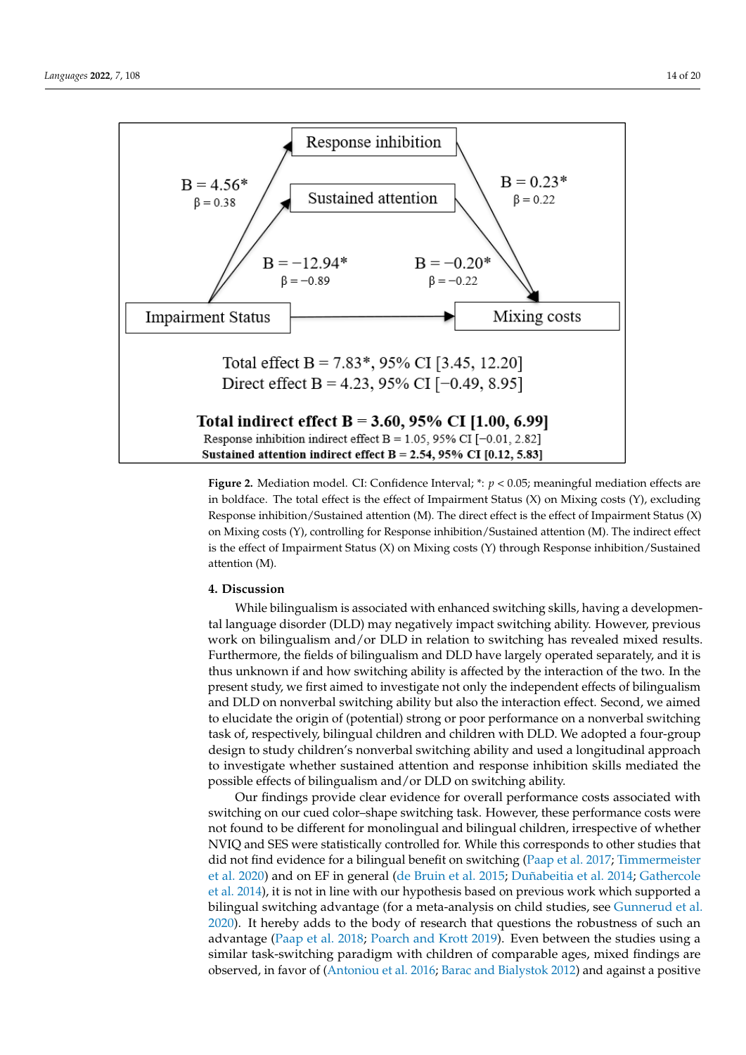<span id="page-13-0"></span>

Figure 2. Mediation model. CI: Confidence Interval; \*:  $p < 0.05$ ; meaningful mediation effects are in boldface. The total effect is the effect of Impairment Status  $(X)$  on Mixing costs  $(Y)$ , excluding Response inhibition/Sustained attention (M). The direct effect is the effect of Impairment Status (X) Response inhibition/Sustained attention (M). The direct effect is the effect of Impairment Status (X) on Mixing costs (Y), controlling for Response inhibition/Sustained attention (M). The indirect effect is the effect of Impairment Status  $(X)$  on Mixing costs  $(Y)$  through Response inhibition/Sustained attention (M).

# **4. Discussion 4. Discussion**

While bilingualism is associated with enhanced switching skills, having a developmenlanguage disorder (DLD) may negatively impact switching ability. However, previous tal language disorder (DLD) may negatively impact switching ability. However, previous work on bilingualism and/or DLD in relation to switching has revealed mixed results. work on bilingualism and/or DLD in relation to switching has revealed mixed results. Furthermore, the fields of bilingualism and DLD have largely operated separately, and it Furthermore, the fields of bilingualism and DLD have largely operated separately, and it is thus unknown if and how switching ability is affected by the interaction of the two. In the present study, we first aimed to investigate not only the independent effects of bilingualism and DLD on nonverbal switching ability but also the interaction effect. Second, we aimed to elucidate the origin of (potential) strong or poor performance on a nonverbal switching task of, respectively, bilingual children and children with DLD. We adopted a four-group design to study children's nonverbal switching ability and used a longitudinal approach to investigate whether sustained attention and response inhibition skills mediated the possible effects of bilingualism and/or DLD on switching ability.

Our findings provide clear evidence for overall performance costs associated with Our findings provide clear evidence for overall performance costs associated with switching on our cued color–shape switching task. However, these performance costs switching on our cued color–shape switching task. However, these performance costs were not found to be different for monolingual and bilingual children, irrespective of whether NVIQ and SES were statistically controlled for. While this corresponds to other studies that did not find evidence for a bilingual benefit on switching [\(Paap et al.](#page-18-5) [2017;](#page-18-5) [Timmermeister](#page-18-6) [et al.](#page-18-6) [2020\)](#page-18-6) and on EF in general [\(de Bruin et al.](#page-17-15) [2015;](#page-17-15) [Duñabeitia et al.](#page-17-16) [2014;](#page-17-16) [Gathercole](#page-17-17) [et al.](#page-17-17) [2014\)](#page-17-17), it is not in line with our hypothesis based on previous work which supported a bilingual switching advantage (for a meta-analysis on child studies, see [Gunnerud et al.](#page-17-5) [2020\)](#page-17-5). It hereby adds to the body of research that questions the robustness of such an advantage [\(Paap et al.](#page-18-25) [2018;](#page-18-25) [Poarch and Krott](#page-18-7) [2019\)](#page-18-7). Even between the studies using a similar task-switching paradigm with children of comparable ages, mixed findings are observed, in favor of [\(Antoniou et al.](#page-16-14) [2016;](#page-16-14) [Barac and Bialystok](#page-16-4) [2012\)](#page-16-4) and against a positive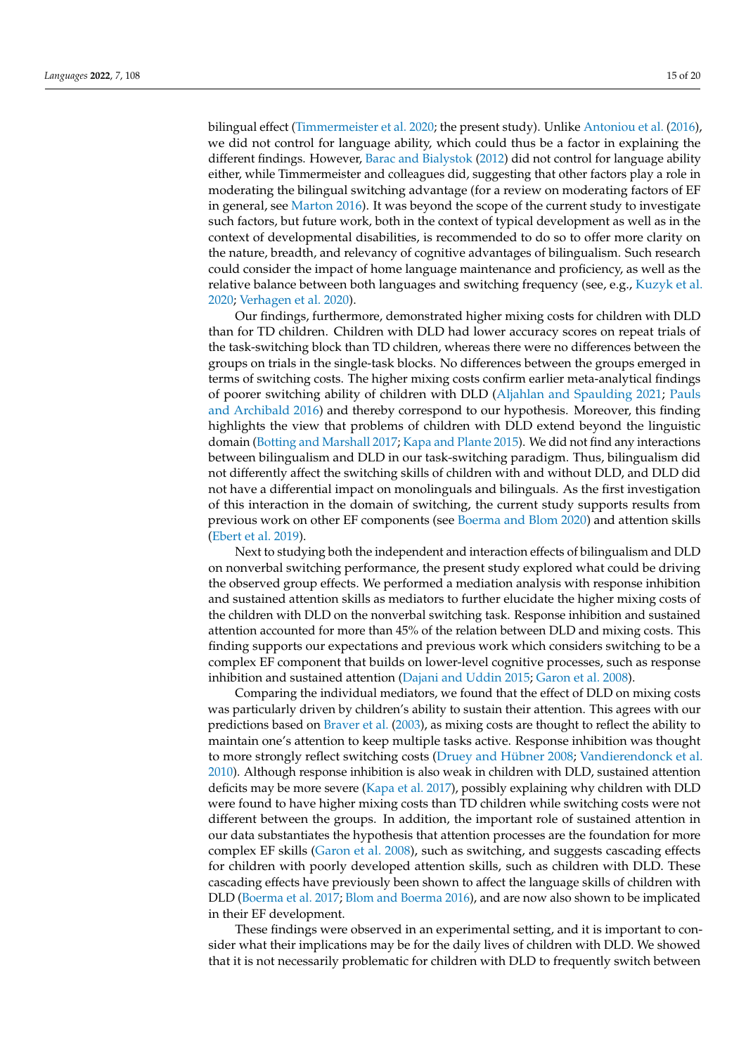bilingual effect [\(Timmermeister et al.](#page-18-6) [2020;](#page-18-6) the present study). Unlike [Antoniou et al.](#page-16-14) [\(2016\)](#page-16-14), we did not control for language ability, which could thus be a factor in explaining the different findings. However, [Barac and Bialystok](#page-16-4) [\(2012\)](#page-16-4) did not control for language ability either, while Timmermeister and colleagues did, suggesting that other factors play a role in moderating the bilingual switching advantage (for a review on moderating factors of EF in general, see [Marton](#page-18-26) [2016\)](#page-18-26). It was beyond the scope of the current study to investigate such factors, but future work, both in the context of typical development as well as in the context of developmental disabilities, is recommended to do so to offer more clarity on the nature, breadth, and relevancy of cognitive advantages of bilingualism. Such research could consider the impact of home language maintenance and proficiency, as well as the relative balance between both languages and switching frequency (see, e.g., [Kuzyk et al.](#page-17-27) [2020;](#page-17-27) [Verhagen et al.](#page-18-27) [2020\)](#page-18-27).

Our findings, furthermore, demonstrated higher mixing costs for children with DLD than for TD children. Children with DLD had lower accuracy scores on repeat trials of the task-switching block than TD children, whereas there were no differences between the groups on trials in the single-task blocks. No differences between the groups emerged in terms of switching costs. The higher mixing costs confirm earlier meta-analytical findings of poorer switching ability of children with DLD [\(Aljahlan and Spaulding](#page-16-3) [2021;](#page-16-3) [Pauls](#page-18-3) [and Archibald](#page-18-3) [2016\)](#page-18-3) and thereby correspond to our hypothesis. Moreover, this finding highlights the view that problems of children with DLD extend beyond the linguistic domain [\(Botting and Marshall](#page-16-15) [2017;](#page-16-15) [Kapa and Plante](#page-17-4) [2015\)](#page-17-4). We did not find any interactions between bilingualism and DLD in our task-switching paradigm. Thus, bilingualism did not differently affect the switching skills of children with and without DLD, and DLD did not have a differential impact on monolinguals and bilinguals. As the first investigation of this interaction in the domain of switching, the current study supports results from previous work on other EF components (see [Boerma and Blom](#page-16-18) [2020\)](#page-16-18) and attention skills [\(Ebert et al.](#page-17-9) [2019\)](#page-17-9).

Next to studying both the independent and interaction effects of bilingualism and DLD on nonverbal switching performance, the present study explored what could be driving the observed group effects. We performed a mediation analysis with response inhibition and sustained attention skills as mediators to further elucidate the higher mixing costs of the children with DLD on the nonverbal switching task. Response inhibition and sustained attention accounted for more than 45% of the relation between DLD and mixing costs. This finding supports our expectations and previous work which considers switching to be a complex EF component that builds on lower-level cognitive processes, such as response inhibition and sustained attention [\(Dajani and Uddin](#page-16-8) [2015;](#page-16-8) [Garon et al.](#page-17-8) [2008\)](#page-17-8).

Comparing the individual mediators, we found that the effect of DLD on mixing costs was particularly driven by children's ability to sustain their attention. This agrees with our predictions based on [Braver et al.](#page-16-10) [\(2003\)](#page-16-10), as mixing costs are thought to reflect the ability to maintain one's attention to keep multiple tasks active. Response inhibition was thought to more strongly reflect switching costs [\(Druey and Hübner](#page-17-12) [2008;](#page-17-12) [Vandierendonck et al.](#page-18-10) [2010\)](#page-18-10). Although response inhibition is also weak in children with DLD, sustained attention deficits may be more severe [\(Kapa et al.](#page-17-10) [2017\)](#page-17-10), possibly explaining why children with DLD were found to have higher mixing costs than TD children while switching costs were not different between the groups. In addition, the important role of sustained attention in our data substantiates the hypothesis that attention processes are the foundation for more complex EF skills [\(Garon et al.](#page-17-8) [2008\)](#page-17-8), such as switching, and suggests cascading effects for children with poorly developed attention skills, such as children with DLD. These cascading effects have previously been shown to affect the language skills of children with DLD [\(Boerma et al.](#page-16-17) [2017;](#page-16-17) [Blom and Boerma](#page-16-21) [2016\)](#page-16-21), and are now also shown to be implicated in their EF development.

These findings were observed in an experimental setting, and it is important to consider what their implications may be for the daily lives of children with DLD. We showed that it is not necessarily problematic for children with DLD to frequently switch between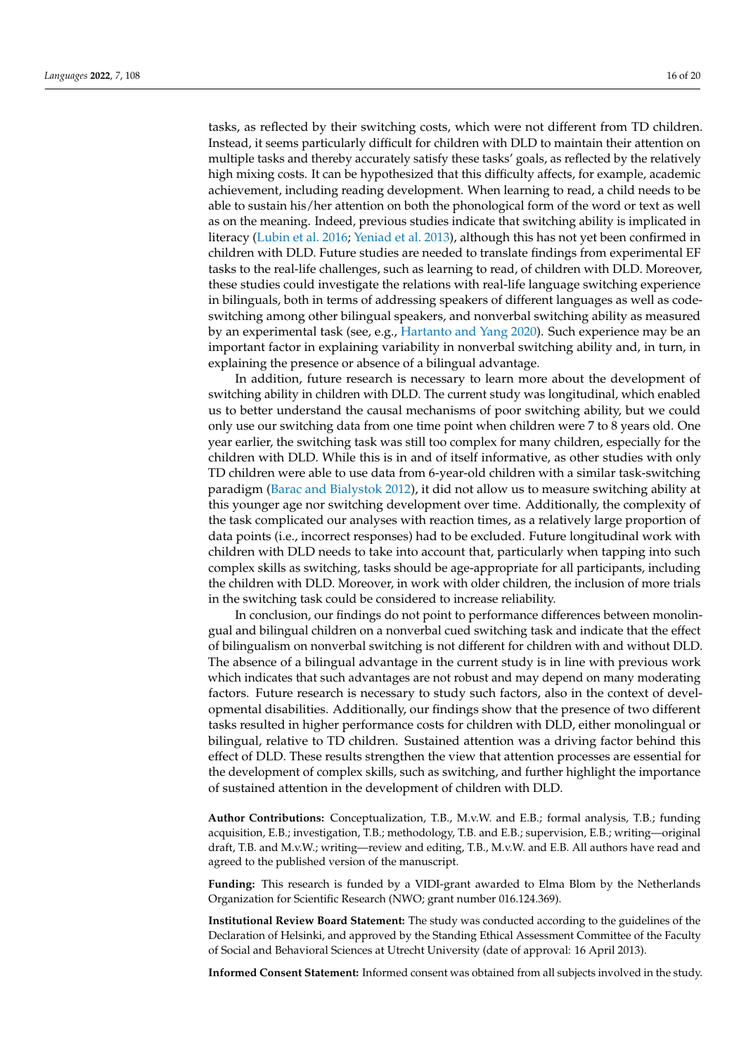tasks, as reflected by their switching costs, which were not different from TD children. Instead, it seems particularly difficult for children with DLD to maintain their attention on multiple tasks and thereby accurately satisfy these tasks' goals, as reflected by the relatively high mixing costs. It can be hypothesized that this difficulty affects, for example, academic achievement, including reading development. When learning to read, a child needs to be able to sustain his/her attention on both the phonological form of the word or text as well as on the meaning. Indeed, previous studies indicate that switching ability is implicated in literacy [\(Lubin et al.](#page-17-28) [2016;](#page-17-28) [Yeniad et al.](#page-19-2) [2013\)](#page-19-2), although this has not yet been confirmed in children with DLD. Future studies are needed to translate findings from experimental EF tasks to the real-life challenges, such as learning to read, of children with DLD. Moreover, these studies could investigate the relations with real-life language switching experience in bilinguals, both in terms of addressing speakers of different languages as well as codeswitching among other bilingual speakers, and nonverbal switching ability as measured by an experimental task (see, e.g., [Hartanto and Yang](#page-17-29) [2020\)](#page-17-29). Such experience may be an important factor in explaining variability in nonverbal switching ability and, in turn, in explaining the presence or absence of a bilingual advantage.

In addition, future research is necessary to learn more about the development of switching ability in children with DLD. The current study was longitudinal, which enabled us to better understand the causal mechanisms of poor switching ability, but we could only use our switching data from one time point when children were 7 to 8 years old. One year earlier, the switching task was still too complex for many children, especially for the children with DLD. While this is in and of itself informative, as other studies with only TD children were able to use data from 6-year-old children with a similar task-switching paradigm [\(Barac and Bialystok](#page-16-4) [2012\)](#page-16-4), it did not allow us to measure switching ability at this younger age nor switching development over time. Additionally, the complexity of the task complicated our analyses with reaction times, as a relatively large proportion of data points (i.e., incorrect responses) had to be excluded. Future longitudinal work with children with DLD needs to take into account that, particularly when tapping into such complex skills as switching, tasks should be age-appropriate for all participants, including the children with DLD. Moreover, in work with older children, the inclusion of more trials in the switching task could be considered to increase reliability.

In conclusion, our findings do not point to performance differences between monolingual and bilingual children on a nonverbal cued switching task and indicate that the effect of bilingualism on nonverbal switching is not different for children with and without DLD. The absence of a bilingual advantage in the current study is in line with previous work which indicates that such advantages are not robust and may depend on many moderating factors. Future research is necessary to study such factors, also in the context of developmental disabilities. Additionally, our findings show that the presence of two different tasks resulted in higher performance costs for children with DLD, either monolingual or bilingual, relative to TD children. Sustained attention was a driving factor behind this effect of DLD. These results strengthen the view that attention processes are essential for the development of complex skills, such as switching, and further highlight the importance of sustained attention in the development of children with DLD.

**Author Contributions:** Conceptualization, T.B., M.v.W. and E.B.; formal analysis, T.B.; funding acquisition, E.B.; investigation, T.B.; methodology, T.B. and E.B.; supervision, E.B.; writing—original draft, T.B. and M.v.W.; writing—review and editing, T.B., M.v.W. and E.B. All authors have read and agreed to the published version of the manuscript.

**Funding:** This research is funded by a VIDI-grant awarded to Elma Blom by the Netherlands Organization for Scientific Research (NWO; grant number 016.124.369).

**Institutional Review Board Statement:** The study was conducted according to the guidelines of the Declaration of Helsinki, and approved by the Standing Ethical Assessment Committee of the Faculty of Social and Behavioral Sciences at Utrecht University (date of approval: 16 April 2013).

**Informed Consent Statement:** Informed consent was obtained from all subjects involved in the study.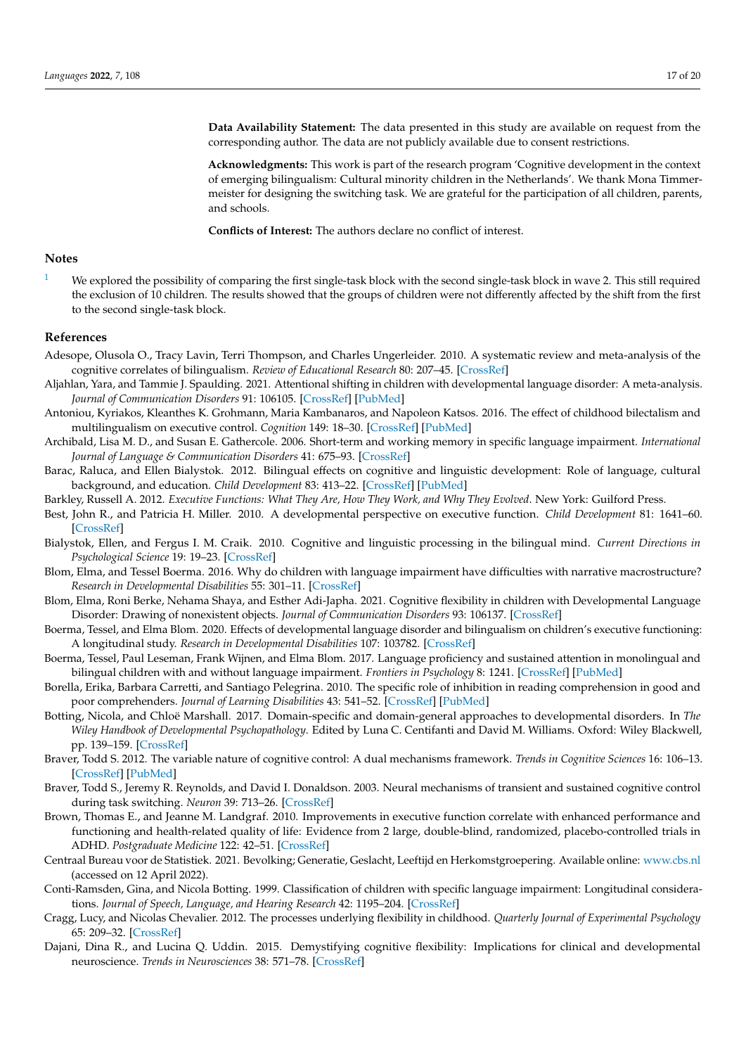**Data Availability Statement:** The data presented in this study are available on request from the corresponding author. The data are not publicly available due to consent restrictions.

**Acknowledgments:** This work is part of the research program 'Cognitive development in the context of emerging bilingualism: Cultural minority children in the Netherlands'. We thank Mona Timmermeister for designing the switching task. We are grateful for the participation of all children, parents, and schools.

**Conflicts of Interest:** The authors declare no conflict of interest.

#### **Notes**

<span id="page-16-20"></span><sup>[1](#page-9-0)</sup> We explored the possibility of comparing the first single-task block with the second single-task block in wave 2. This still required the exclusion of 10 children. The results showed that the groups of children were not differently affected by the shift from the first to the second single-task block.

#### **References**

- <span id="page-16-12"></span>Adesope, Olusola O., Tracy Lavin, Terri Thompson, and Charles Ungerleider. 2010. A systematic review and meta-analysis of the cognitive correlates of bilingualism. *Review of Educational Research* 80: 207–45. [\[CrossRef\]](http://doi.org/10.3102/0034654310368803)
- <span id="page-16-3"></span>Aljahlan, Yara, and Tammie J. Spaulding. 2021. Attentional shifting in children with developmental language disorder: A meta-analysis. *Journal of Communication Disorders* 91: 106105. [\[CrossRef\]](http://doi.org/10.1016/j.jcomdis.2021.106105) [\[PubMed\]](http://www.ncbi.nlm.nih.gov/pubmed/34029884)
- <span id="page-16-14"></span>Antoniou, Kyriakos, Kleanthes K. Grohmann, Maria Kambanaros, and Napoleon Katsos. 2016. The effect of childhood bilectalism and multilingualism on executive control. *Cognition* 149: 18–30. [\[CrossRef\]](http://doi.org/10.1016/j.cognition.2015.12.002) [\[PubMed\]](http://www.ncbi.nlm.nih.gov/pubmed/26774217)
- <span id="page-16-16"></span>Archibald, Lisa M. D., and Susan E. Gathercole. 2006. Short-term and working memory in specific language impairment. *International Journal of Language & Communication Disorders* 41: 675–93. [\[CrossRef\]](http://doi.org/10.1080/13682820500442602)
- <span id="page-16-4"></span>Barac, Raluca, and Ellen Bialystok. 2012. Bilingual effects on cognitive and linguistic development: Role of language, cultural background, and education. *Child Development* 83: 413–22. [\[CrossRef\]](http://doi.org/10.1111/j.1467-8624.2011.01707.x) [\[PubMed\]](http://www.ncbi.nlm.nih.gov/pubmed/22313034)
- <span id="page-16-0"></span>Barkley, Russell A. 2012. *Executive Functions: What They Are, How They Work, and Why They Evolved*. New York: Guilford Press.
- <span id="page-16-7"></span>Best, John R., and Patricia H. Miller. 2010. A developmental perspective on executive function. *Child Development* 81: 1641–60. [\[CrossRef\]](http://doi.org/10.1111/j.1467-8624.2010.01499.x)
- <span id="page-16-13"></span>Bialystok, Ellen, and Fergus I. M. Craik. 2010. Cognitive and linguistic processing in the bilingual mind. *Current Directions in Psychological Science* 19: 19–23. [\[CrossRef\]](http://doi.org/10.1177/0963721409358571)
- <span id="page-16-21"></span>Blom, Elma, and Tessel Boerma. 2016. Why do children with language impairment have difficulties with narrative macrostructure? *Research in Developmental Disabilities* 55: 301–11. [\[CrossRef\]](http://doi.org/10.1016/j.ridd.2016.05.001)
- <span id="page-16-5"></span>Blom, Elma, Roni Berke, Nehama Shaya, and Esther Adi-Japha. 2021. Cognitive flexibility in children with Developmental Language Disorder: Drawing of nonexistent objects. *Journal of Communication Disorders* 93: 106137. [\[CrossRef\]](http://doi.org/10.1016/j.jcomdis.2021.106137)
- <span id="page-16-18"></span>Boerma, Tessel, and Elma Blom. 2020. Effects of developmental language disorder and bilingualism on children's executive functioning: A longitudinal study. *Research in Developmental Disabilities* 107: 103782. [\[CrossRef\]](http://doi.org/10.1016/j.ridd.2020.103782)
- <span id="page-16-17"></span>Boerma, Tessel, Paul Leseman, Frank Wijnen, and Elma Blom. 2017. Language proficiency and sustained attention in monolingual and bilingual children with and without language impairment. *Frontiers in Psychology* 8: 1241. [\[CrossRef\]](http://doi.org/10.3389/fpsyg.2017.01241) [\[PubMed\]](http://www.ncbi.nlm.nih.gov/pubmed/28785235)
- <span id="page-16-1"></span>Borella, Erika, Barbara Carretti, and Santiago Pelegrina. 2010. The specific role of inhibition in reading comprehension in good and poor comprehenders. *Journal of Learning Disabilities* 43: 541–52. [\[CrossRef\]](http://doi.org/10.1177/0022219410371676) [\[PubMed\]](http://www.ncbi.nlm.nih.gov/pubmed/20606207)
- <span id="page-16-15"></span>Botting, Nicola, and Chloë Marshall. 2017. Domain-specific and domain-general approaches to developmental disorders. In *The Wiley Handbook of Developmental Psychopathology*. Edited by Luna C. Centifanti and David M. Williams. Oxford: Wiley Blackwell, pp. 139–159. [\[CrossRef\]](http://doi.org/10.1002/9781118554470)
- <span id="page-16-11"></span>Braver, Todd S. 2012. The variable nature of cognitive control: A dual mechanisms framework. *Trends in Cognitive Sciences* 16: 106–13. [\[CrossRef\]](http://doi.org/10.1016/j.tics.2011.12.010) [\[PubMed\]](http://www.ncbi.nlm.nih.gov/pubmed/22245618)
- <span id="page-16-10"></span>Braver, Todd S., Jeremy R. Reynolds, and David I. Donaldson. 2003. Neural mechanisms of transient and sustained cognitive control during task switching. *Neuron* 39: 713–26. [\[CrossRef\]](http://doi.org/10.1016/S0896-6273(03)00466-5)
- <span id="page-16-2"></span>Brown, Thomas E., and Jeanne M. Landgraf. 2010. Improvements in executive function correlate with enhanced performance and functioning and health-related quality of life: Evidence from 2 large, double-blind, randomized, placebo-controlled trials in ADHD. *Postgraduate Medicine* 122: 42–51. [\[CrossRef\]](http://doi.org/10.3810/pgm.2010.09.2200)
- <span id="page-16-6"></span>Centraal Bureau voor de Statistiek. 2021. Bevolking; Generatie, Geslacht, Leeftijd en Herkomstgroepering. Available online: <www.cbs.nl> (accessed on 12 April 2022).
- <span id="page-16-19"></span>Conti-Ramsden, Gina, and Nicola Botting. 1999. Classification of children with specific language impairment: Longitudinal considerations. *Journal of Speech, Language, and Hearing Research* 42: 1195–204. [\[CrossRef\]](http://doi.org/10.1044/jslhr.4205.1195)
- <span id="page-16-9"></span>Cragg, Lucy, and Nicolas Chevalier. 2012. The processes underlying flexibility in childhood. *Quarterly Journal of Experimental Psychology* 65: 209–32. [\[CrossRef\]](http://doi.org/10.1080/17470210903204618)
- <span id="page-16-8"></span>Dajani, Dina R., and Lucina Q. Uddin. 2015. Demystifying cognitive flexibility: Implications for clinical and developmental neuroscience. *Trends in Neurosciences* 38: 571–78. [\[CrossRef\]](http://doi.org/10.1016/j.tins.2015.07.003)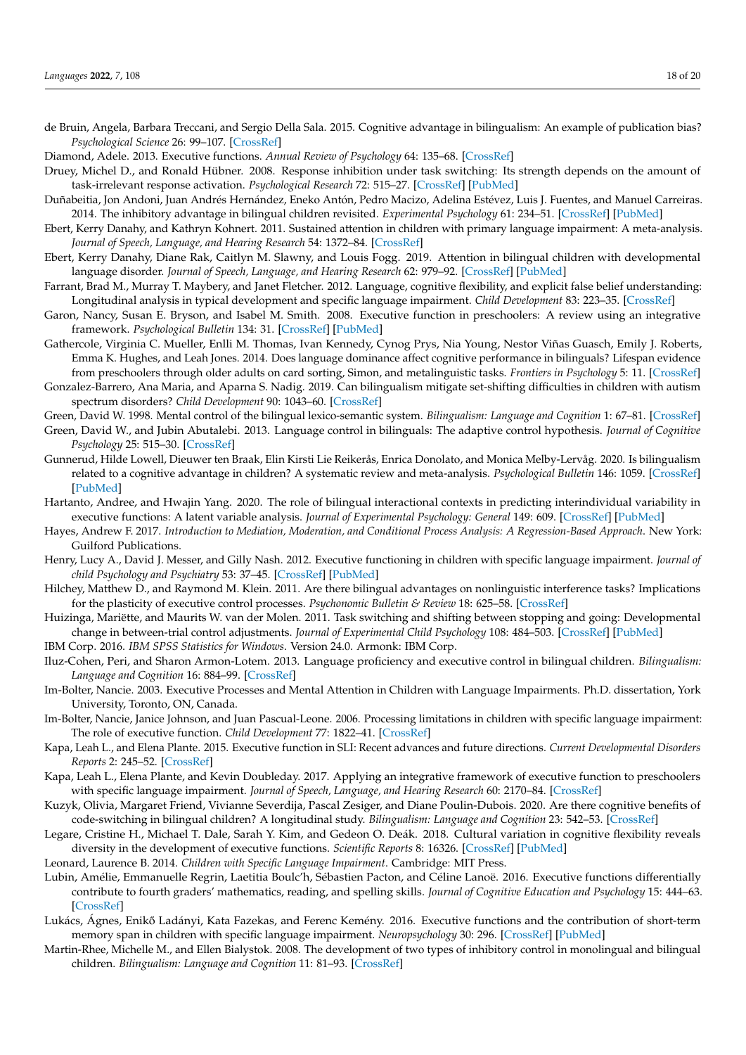- <span id="page-17-15"></span>de Bruin, Angela, Barbara Treccani, and Sergio Della Sala. 2015. Cognitive advantage in bilingualism: An example of publication bias? *Psychological Science* 26: 99–107. [\[CrossRef\]](http://doi.org/10.1177/0956797614557866)
- <span id="page-17-0"></span>Diamond, Adele. 2013. Executive functions. *Annual Review of Psychology* 64: 135–68. [\[CrossRef\]](http://doi.org/10.1146/annurev-psych-113011-143750)
- <span id="page-17-12"></span>Druey, Michel D., and Ronald Hübner. 2008. Response inhibition under task switching: Its strength depends on the amount of task-irrelevant response activation. *Psychological Research* 72: 515–27. [\[CrossRef\]](http://doi.org/10.1007/s00426-007-0127-1) [\[PubMed\]](http://www.ncbi.nlm.nih.gov/pubmed/17901980)
- <span id="page-17-16"></span>Duñabeitia, Jon Andoni, Juan Andrés Hernández, Eneko Antón, Pedro Macizo, Adelina Estévez, Luis J. Fuentes, and Manuel Carreiras. 2014. The inhibitory advantage in bilingual children revisited. *Experimental Psychology* 61: 234–51. [\[CrossRef\]](http://doi.org/10.1027/1618-3169/a000243) [\[PubMed\]](http://www.ncbi.nlm.nih.gov/pubmed/24217139)
- <span id="page-17-22"></span>Ebert, Kerry Danahy, and Kathryn Kohnert. 2011. Sustained attention in children with primary language impairment: A meta-analysis. *Journal of Speech, Language, and Hearing Research* 54: 1372–84. [\[CrossRef\]](http://doi.org/10.1044/1092-4388(2011/10-0231))
- <span id="page-17-9"></span>Ebert, Kerry Danahy, Diane Rak, Caitlyn M. Slawny, and Louis Fogg. 2019. Attention in bilingual children with developmental language disorder. *Journal of Speech, Language, and Hearing Research* 62: 979–92. [\[CrossRef\]](http://doi.org/10.1044/2018_JSLHR-L-18-0221) [\[PubMed\]](http://www.ncbi.nlm.nih.gov/pubmed/30969901)
- <span id="page-17-6"></span>Farrant, Brad M., Murray T. Maybery, and Janet Fletcher. 2012. Language, cognitive flexibility, and explicit false belief understanding: Longitudinal analysis in typical development and specific language impairment. *Child Development* 83: 223–35. [\[CrossRef\]](http://doi.org/10.1111/j.1467-8624.2011.01681.x)
- <span id="page-17-8"></span>Garon, Nancy, Susan E. Bryson, and Isabel M. Smith. 2008. Executive function in preschoolers: A review using an integrative framework. *Psychological Bulletin* 134: 31. [\[CrossRef\]](http://doi.org/10.1037/0033-2909.134.1.31) [\[PubMed\]](http://www.ncbi.nlm.nih.gov/pubmed/18193994)
- <span id="page-17-17"></span>Gathercole, Virginia C. Mueller, Enlli M. Thomas, Ivan Kennedy, Cynog Prys, Nia Young, Nestor Viñas Guasch, Emily J. Roberts, Emma K. Hughes, and Leah Jones. 2014. Does language dominance affect cognitive performance in bilinguals? Lifespan evidence from preschoolers through older adults on card sorting, Simon, and metalinguistic tasks. *Frontiers in Psychology* 5: 11. [\[CrossRef\]](http://doi.org/10.3389/fpsyg.2014.00011)
- <span id="page-17-23"></span>Gonzalez-Barrero, Ana Maria, and Aparna S. Nadig. 2019. Can bilingualism mitigate set-shifting difficulties in children with autism spectrum disorders? *Child Development* 90: 1043–60. [\[CrossRef\]](http://doi.org/10.1111/cdev.12979)
- <span id="page-17-14"></span>Green, David W. 1998. Mental control of the bilingual lexico-semantic system. *Bilingualism: Language and Cognition* 1: 67–81. [\[CrossRef\]](http://doi.org/10.1017/S1366728998000133)
- <span id="page-17-13"></span>Green, David W., and Jubin Abutalebi. 2013. Language control in bilinguals: The adaptive control hypothesis. *Journal of Cognitive Psychology* 25: 515–30. [\[CrossRef\]](http://doi.org/10.1080/20445911.2013.796377)
- <span id="page-17-5"></span>Gunnerud, Hilde Lowell, Dieuwer ten Braak, Elin Kirsti Lie Reikerås, Enrica Donolato, and Monica Melby-Lervåg. 2020. Is bilingualism related to a cognitive advantage in children? A systematic review and meta-analysis. *Psychological Bulletin* 146: 1059. [\[CrossRef\]](http://doi.org/10.1037/bul0000301) [\[PubMed\]](http://www.ncbi.nlm.nih.gov/pubmed/32914991)
- <span id="page-17-29"></span>Hartanto, Andree, and Hwajin Yang. 2020. The role of bilingual interactional contexts in predicting interindividual variability in executive functions: A latent variable analysis. *Journal of Experimental Psychology: General* 149: 609. [\[CrossRef\]](http://doi.org/10.1037/xge0000672) [\[PubMed\]](http://www.ncbi.nlm.nih.gov/pubmed/31486665)
- <span id="page-17-26"></span>Hayes, Andrew F. 2017. *Introduction to Mediation, Moderation, and Conditional Process Analysis: A Regression-Based Approach*. New York: Guilford Publications.
- <span id="page-17-7"></span>Henry, Lucy A., David J. Messer, and Gilly Nash. 2012. Executive functioning in children with specific language impairment. *Journal of child Psychology and Psychiatry* 53: 37–45. [\[CrossRef\]](http://doi.org/10.1111/j.1469-7610.2011.02430.x) [\[PubMed\]](http://www.ncbi.nlm.nih.gov/pubmed/21668446)
- <span id="page-17-2"></span>Hilchey, Matthew D., and Raymond M. Klein. 2011. Are there bilingual advantages on nonlinguistic interference tasks? Implications for the plasticity of executive control processes. *Psychonomic Bulletin & Review* 18: 625–58. [\[CrossRef\]](http://doi.org/10.3758/s13423-011-0116-7)
- <span id="page-17-11"></span>Huizinga, Mariëtte, and Maurits W. van der Molen. 2011. Task switching and shifting between stopping and going: Developmental change in between-trial control adjustments. *Journal of Experimental Child Psychology* 108: 484–503. [\[CrossRef\]](http://doi.org/10.1016/j.jecp.2010.10.004) [\[PubMed\]](http://www.ncbi.nlm.nih.gov/pubmed/21092983)
- <span id="page-17-25"></span>IBM Corp. 2016. *IBM SPSS Statistics for Windows*. Version 24.0. Armonk: IBM Corp.
- <span id="page-17-24"></span>Iluz-Cohen, Peri, and Sharon Armon-Lotem. 2013. Language proficiency and executive control in bilingual children. *Bilingualism: Language and Cognition* 16: 884–99. [\[CrossRef\]](http://doi.org/10.1017/S1366728912000788)
- <span id="page-17-21"></span>Im-Bolter, Nancie. 2003. Executive Processes and Mental Attention in Children with Language Impairments. Ph.D. dissertation, York University, Toronto, ON, Canada.
- <span id="page-17-19"></span>Im-Bolter, Nancie, Janice Johnson, and Juan Pascual-Leone. 2006. Processing limitations in children with specific language impairment: The role of executive function. *Child Development* 77: 1822–41. [\[CrossRef\]](http://doi.org/10.1111/j.1467-8624.2006.00976.x)
- <span id="page-17-4"></span>Kapa, Leah L., and Elena Plante. 2015. Executive function in SLI: Recent advances and future directions. *Current Developmental Disorders Reports* 2: 245–52. [\[CrossRef\]](http://doi.org/10.1007/s40474-015-0050-x)
- <span id="page-17-10"></span>Kapa, Leah L., Elena Plante, and Kevin Doubleday. 2017. Applying an integrative framework of executive function to preschoolers with specific language impairment. *Journal of Speech, Language, and Hearing Research* 60: 2170–84. [\[CrossRef\]](http://doi.org/10.1044/2017_JSLHR-L-16-0027)
- <span id="page-17-27"></span>Kuzyk, Olivia, Margaret Friend, Vivianne Severdija, Pascal Zesiger, and Diane Poulin-Dubois. 2020. Are there cognitive benefits of code-switching in bilingual children? A longitudinal study. *Bilingualism: Language and Cognition* 23: 542–53. [\[CrossRef\]](http://doi.org/10.1017/S1366728918001207)
- <span id="page-17-1"></span>Legare, Cristine H., Michael T. Dale, Sarah Y. Kim, and Gedeon O. Deák. 2018. Cultural variation in cognitive flexibility reveals diversity in the development of executive functions. *Scientific Reports* 8: 16326. [\[CrossRef\]](http://doi.org/10.1038/s41598-018-34756-2) [\[PubMed\]](http://www.ncbi.nlm.nih.gov/pubmed/30397235)
- <span id="page-17-18"></span>Leonard, Laurence B. 2014. *Children with Specific Language Impairment*. Cambridge: MIT Press.
- <span id="page-17-28"></span>Lubin, Amélie, Emmanuelle Regrin, Laetitia Boulc'h, Sébastien Pacton, and Céline Lanoë. 2016. Executive functions differentially contribute to fourth graders' mathematics, reading, and spelling skills. *Journal of Cognitive Education and Psychology* 15: 444–63. [\[CrossRef\]](http://doi.org/10.1891/1945-8959.15.3.444)
- <span id="page-17-20"></span>Lukács, Ágnes, Enikő Ladányi, Kata Fazekas, and Ferenc Kemény. 2016. Executive functions and the contribution of short-term memory span in children with specific language impairment. *Neuropsychology* 30: 296. [\[CrossRef\]](http://doi.org/10.1037/neu0000232) [\[PubMed\]](http://www.ncbi.nlm.nih.gov/pubmed/26280300)
- <span id="page-17-3"></span>Martin-Rhee, Michelle M., and Ellen Bialystok. 2008. The development of two types of inhibitory control in monolingual and bilingual children. *Bilingualism: Language and Cognition* 11: 81–93. [\[CrossRef\]](http://doi.org/10.1017/S1366728907003227)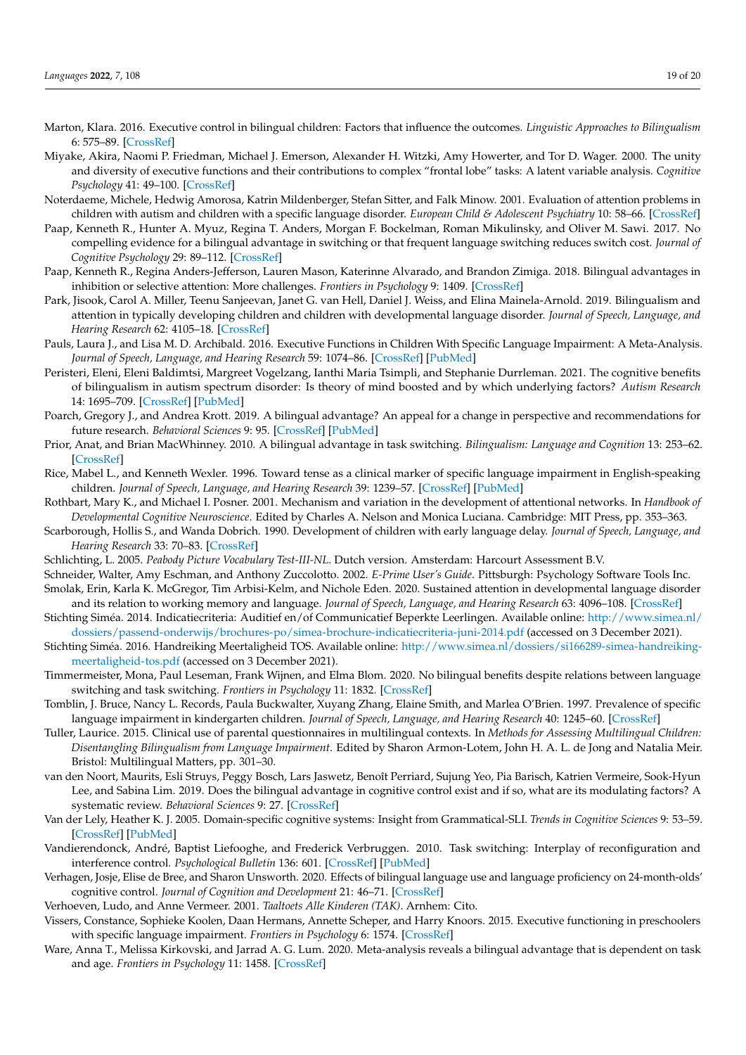- <span id="page-18-26"></span>Marton, Klara. 2016. Executive control in bilingual children: Factors that influence the outcomes. *Linguistic Approaches to Bilingualism* 6: 575–89. [\[CrossRef\]](http://doi.org/10.1075/lab.15038.mar)
- <span id="page-18-0"></span>Miyake, Akira, Naomi P. Friedman, Michael J. Emerson, Alexander H. Witzki, Amy Howerter, and Tor D. Wager. 2000. The unity and diversity of executive functions and their contributions to complex "frontal lobe" tasks: A latent variable analysis. *Cognitive Psychology* 41: 49–100. [\[CrossRef\]](http://doi.org/10.1006/cogp.1999.0734)
- <span id="page-18-14"></span>Noterdaeme, Michele, Hedwig Amorosa, Katrin Mildenberger, Stefan Sitter, and Falk Minow. 2001. Evaluation of attention problems in children with autism and children with a specific language disorder. *European Child & Adolescent Psychiatry* 10: 58–66. [\[CrossRef\]](http://doi.org/10.1007/s007870170048)
- <span id="page-18-5"></span>Paap, Kenneth R., Hunter A. Myuz, Regina T. Anders, Morgan F. Bockelman, Roman Mikulinsky, and Oliver M. Sawi. 2017. No compelling evidence for a bilingual advantage in switching or that frequent language switching reduces switch cost. *Journal of Cognitive Psychology* 29: 89–112. [\[CrossRef\]](http://doi.org/10.1080/20445911.2016.1248436)
- <span id="page-18-25"></span>Paap, Kenneth R., Regina Anders-Jefferson, Lauren Mason, Katerinne Alvarado, and Brandon Zimiga. 2018. Bilingual advantages in inhibition or selective attention: More challenges. *Frontiers in Psychology* 9: 1409. [\[CrossRef\]](http://doi.org/10.3389/fpsyg.2018.01409)
- <span id="page-18-16"></span>Park, Jisook, Carol A. Miller, Teenu Sanjeevan, Janet G. van Hell, Daniel J. Weiss, and Elina Mainela-Arnold. 2019. Bilingualism and attention in typically developing children and children with developmental language disorder. *Journal of Speech, Language, and Hearing Research* 62: 4105–18. [\[CrossRef\]](http://doi.org/10.1044/2019_JSLHR-L-18-0341)
- <span id="page-18-3"></span>Pauls, Laura J., and Lisa M. D. Archibald. 2016. Executive Functions in Children With Specific Language Impairment: A Meta-Analysis. *Journal of Speech, Language, and Hearing Research* 59: 1074–86. [\[CrossRef\]](http://doi.org/10.1044/2016_JSLHR-L-15-0174) [\[PubMed\]](http://www.ncbi.nlm.nih.gov/pubmed/27653611)
- <span id="page-18-15"></span>Peristeri, Eleni, Eleni Baldimtsi, Margreet Vogelzang, Ianthi Maria Tsimpli, and Stephanie Durrleman. 2021. The cognitive benefits of bilingualism in autism spectrum disorder: Is theory of mind boosted and by which underlying factors? *Autism Research* 14: 1695–709. [\[CrossRef\]](http://doi.org/10.1002/aur.2542) [\[PubMed\]](http://www.ncbi.nlm.nih.gov/pubmed/34008896)
- <span id="page-18-7"></span>Poarch, Gregory J., and Andrea Krott. 2019. A bilingual advantage? An appeal for a change in perspective and recommendations for future research. *Behavioral Sciences* 9: 95. [\[CrossRef\]](http://doi.org/10.3390/bs9090095) [\[PubMed\]](http://www.ncbi.nlm.nih.gov/pubmed/31487900)
- <span id="page-18-4"></span>Prior, Anat, and Brian MacWhinney. 2010. A bilingual advantage in task switching. *Bilingualism: Language and Cognition* 13: 253–62. [\[CrossRef\]](http://doi.org/10.1017/S1366728909990526)
- <span id="page-18-11"></span>Rice, Mabel L., and Kenneth Wexler. 1996. Toward tense as a clinical marker of specific language impairment in English-speaking children. *Journal of Speech, Language, and Hearing Research* 39: 1239–57. [\[CrossRef\]](http://doi.org/10.1044/jshr.3906.1239) [\[PubMed\]](http://www.ncbi.nlm.nih.gov/pubmed/8959609)
- <span id="page-18-9"></span>Rothbart, Mary K., and Michael I. Posner. 2001. Mechanism and variation in the development of attentional networks. In *Handbook of Developmental Cognitive Neuroscience*. Edited by Charles A. Nelson and Monica Luciana. Cambridge: MIT Press, pp. 353–363.
- <span id="page-18-21"></span>Scarborough, Hollis S., and Wanda Dobrich. 1990. Development of children with early language delay. *Journal of Speech, Language, and Hearing Research* 33: 70–83. [\[CrossRef\]](http://doi.org/10.1044/jshr.3301.70)
- <span id="page-18-22"></span>Schlichting, L. 2005. *Peabody Picture Vocabulary Test-III-NL*. Dutch version. Amsterdam: Harcourt Assessment B.V.
- <span id="page-18-24"></span><span id="page-18-8"></span>Schneider, Walter, Amy Eschman, and Anthony Zuccolotto. 2002. *E-Prime User's Guide*. Pittsburgh: Psychology Software Tools Inc. Smolak, Erin, Karla K. McGregor, Tim Arbisi-Kelm, and Nichole Eden. 2020. Sustained attention in developmental language disorder
- <span id="page-18-19"></span>and its relation to working memory and language. *Journal of Speech, Language, and Hearing Research* 63: 4096–108. [\[CrossRef\]](http://doi.org/10.1044/2020_JSLHR-20-00265) Stichting Siméa. 2014. Indicatiecriteria: Auditief en/of Communicatief Beperkte Leerlingen. Available online: [http://www.simea.nl/](http://www.simea.nl/dossiers/passend-onderwijs/brochures-po/simea-brochure-indicatiecriteria-juni-2014.pdf) [dossiers/passend-onderwijs/brochures-po/simea-brochure-indicatiecriteria-juni-2014.pdf](http://www.simea.nl/dossiers/passend-onderwijs/brochures-po/simea-brochure-indicatiecriteria-juni-2014.pdf) (accessed on 3 December 2021).
- <span id="page-18-20"></span>Stichting Siméa. 2016. Handreiking Meertaligheid TOS. Available online: [http://www.simea.nl/dossiers/si166289-simea-handreiking](http://www.simea.nl/dossiers/si166289-simea-handreiking-meertaligheid-tos.pdf)[meertaligheid-tos.pdf](http://www.simea.nl/dossiers/si166289-simea-handreiking-meertaligheid-tos.pdf) (accessed on 3 December 2021).
- <span id="page-18-6"></span>Timmermeister, Mona, Paul Leseman, Frank Wijnen, and Elma Blom. 2020. No bilingual benefits despite relations between language switching and task switching. *Frontiers in Psychology* 11: 1832. [\[CrossRef\]](http://doi.org/10.3389/fpsyg.2020.01832)
- <span id="page-18-17"></span>Tomblin, J. Bruce, Nancy L. Records, Paula Buckwalter, Xuyang Zhang, Elaine Smith, and Marlea O'Brien. 1997. Prevalence of specific language impairment in kindergarten children. *Journal of Speech, Language, and Hearing Research* 40: 1245–60. [\[CrossRef\]](http://doi.org/10.1044/jslhr.4006.1245)
- <span id="page-18-18"></span>Tuller, Laurice. 2015. Clinical use of parental questionnaires in multilingual contexts. In *Methods for Assessing Multilingual Children: Disentangling Bilingualism from Language Impairment*. Edited by Sharon Armon-Lotem, John H. A. L. de Jong and Natalia Meir. Bristol: Multilingual Matters, pp. 301–30.
- <span id="page-18-1"></span>van den Noort, Maurits, Esli Struys, Peggy Bosch, Lars Jaswetz, Benoît Perriard, Sujung Yeo, Pia Barisch, Katrien Vermeire, Sook-Hyun Lee, and Sabina Lim. 2019. Does the bilingual advantage in cognitive control exist and if so, what are its modulating factors? A systematic review. *Behavioral Sciences* 9: 27. [\[CrossRef\]](http://doi.org/10.3390/bs9030027)
- <span id="page-18-12"></span>Van der Lely, Heather K. J. 2005. Domain-specific cognitive systems: Insight from Grammatical-SLI. *Trends in Cognitive Sciences* 9: 53–59. [\[CrossRef\]](http://doi.org/10.1016/j.tics.2004.12.002) [\[PubMed\]](http://www.ncbi.nlm.nih.gov/pubmed/15668097)
- <span id="page-18-10"></span>Vandierendonck, André, Baptist Liefooghe, and Frederick Verbruggen. 2010. Task switching: Interplay of reconfiguration and interference control. *Psychological Bulletin* 136: 601. [\[CrossRef\]](http://doi.org/10.1037/a0019791) [\[PubMed\]](http://www.ncbi.nlm.nih.gov/pubmed/20565170)
- <span id="page-18-27"></span>Verhagen, Josje, Elise de Bree, and Sharon Unsworth. 2020. Effects of bilingual language use and language proficiency on 24-month-olds' cognitive control. *Journal of Cognition and Development* 21: 46–71. [\[CrossRef\]](http://doi.org/10.1080/15248372.2019.1673752)
- <span id="page-18-23"></span>Verhoeven, Ludo, and Anne Vermeer. 2001. *Taaltoets Alle Kinderen (TAK)*. Arnhem: Cito.
- <span id="page-18-13"></span>Vissers, Constance, Sophieke Koolen, Daan Hermans, Annette Scheper, and Harry Knoors. 2015. Executive functioning in preschoolers with specific language impairment. *Frontiers in Psychology* 6: 1574. [\[CrossRef\]](http://doi.org/10.3389/fpsyg.2015.01574)
- <span id="page-18-2"></span>Ware, Anna T., Melissa Kirkovski, and Jarrad A. G. Lum. 2020. Meta-analysis reveals a bilingual advantage that is dependent on task and age. *Frontiers in Psychology* 11: 1458. [\[CrossRef\]](http://doi.org/10.3389/fpsyg.2020.01458)